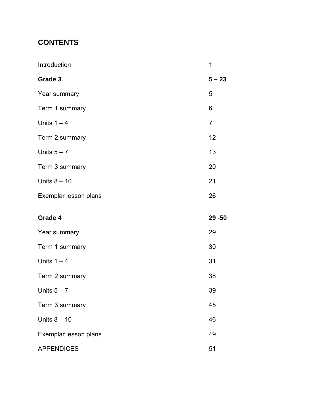# **CONTENTS**

| Introduction          | 1              |
|-----------------------|----------------|
| Grade 3               | $5 - 23$       |
| Year summary          | 5              |
| Term 1 summary        | 6              |
| Units $1 - 4$         | $\overline{7}$ |
| Term 2 summary        | 12             |
| Units $5 - 7$         | 13             |
| Term 3 summary        | 20             |
| Units $8 - 10$        | 21             |
| Exemplar lesson plans | 26             |
|                       |                |
| Grade 4               | $29 - 50$      |
| Year summary          | 29             |
| Term 1 summary        | 30             |
| Units $1 - 4$         | 31             |
| Term 2 summary        | 38             |
| Units $5 - 7$         | 39             |
| Term 3 summary        | 45             |
| Units $8 - 10$        | 46             |
| Exemplar lesson plans | 49             |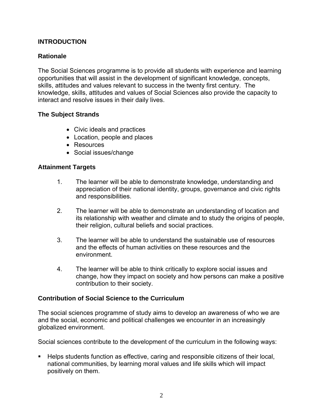# **INTRODUCTION**

# **Rationale**

The Social Sciences programme is to provide all students with experience and learning opportunities that will assist in the development of significant knowledge, concepts, skills, attitudes and values relevant to success in the twenty first century. The knowledge, skills, attitudes and values of Social Sciences also provide the capacity to interact and resolve issues in their daily lives.

## **The Subject Strands**

- Civic ideals and practices
- Location, people and places
- Resources
- Social issues/change

## **Attainment Targets**

- 1. The learner will be able to demonstrate knowledge, understanding and appreciation of their national identity, groups, governance and civic rights and responsibilities.
- 2. The learner will be able to demonstrate an understanding of location and its relationship with weather and climate and to study the origins of people, their religion, cultural beliefs and social practices.
- 3. The learner will be able to understand the sustainable use of resources and the effects of human activities on these resources and the environment.
- 4. The learner will be able to think critically to explore social issues and change, how they impact on society and how persons can make a positive contribution to their society.

# **Contribution of Social Science to the Curriculum**

The social sciences programme of study aims to develop an awareness of who we are and the social, economic and political challenges we encounter in an increasingly globalized environment.

Social sciences contribute to the development of the curriculum in the following ways:

 Helps students function as effective, caring and responsible citizens of their local, national communities, by learning moral values and life skills which will impact positively on them.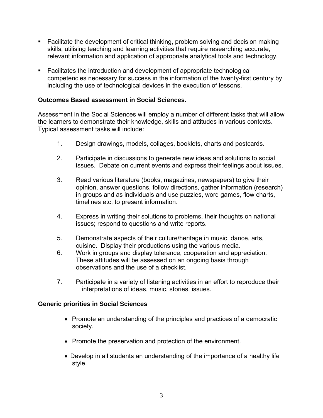- **Facilitate the development of critical thinking, problem solving and decision making** skills, utilising teaching and learning activities that require researching accurate, relevant information and application of appropriate analytical tools and technology.
- Facilitates the introduction and development of appropriate technological competencies necessary for success in the information of the twenty-first century by including the use of technological devices in the execution of lessons.

# **Outcomes Based assessment in Social Sciences.**

Assessment in the Social Sciences will employ a number of different tasks that will allow the learners to demonstrate their knowledge, skills and attitudes in various contexts. Typical assessment tasks will include:

- 1. Design drawings, models, collages, booklets, charts and postcards.
- 2. Participate in discussions to generate new ideas and solutions to social issues. Debate on current events and express their feelings about issues.
- 3. Read various literature (books, magazines, newspapers) to give their opinion, answer questions, follow directions, gather information (research) in groups and as individuals and use puzzles, word games, flow charts, timelines etc, to present information.
- 4. Express in writing their solutions to problems, their thoughts on national issues; respond to questions and write reports.
- 5. Demonstrate aspects of their culture/heritage in music, dance, arts, cuisine. Display their productions using the various media.
- 6. Work in groups and display tolerance, cooperation and appreciation. These attitudes will be assessed on an ongoing basis through observations and the use of a checklist.
- 7. Participate in a variety of listening activities in an effort to reproduce their interpretations of ideas, music, stories, issues.

#### **Generic priorities in Social Sciences**

- Promote an understanding of the principles and practices of a democratic society.
- Promote the preservation and protection of the environment.
- Develop in all students an understanding of the importance of a healthy life style.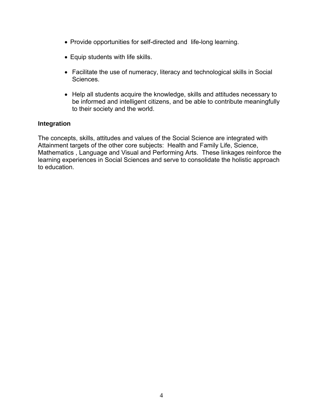- Provide opportunities for self-directed and life-long learning.
- Equip students with life skills.
- Facilitate the use of numeracy, literacy and technological skills in Social Sciences.
- Help all students acquire the knowledge, skills and attitudes necessary to be informed and intelligent citizens, and be able to contribute meaningfully to their society and the world.

#### **Integration**

The concepts, skills, attitudes and values of the Social Science are integrated with Attainment targets of the other core subjects: Health and Family Life, Science, Mathematics , Language and Visual and Performing Arts. These linkages reinforce the learning experiences in Social Sciences and serve to consolidate the holistic approach to education.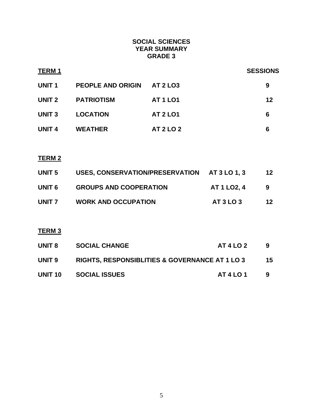## **SOCIAL SCIENCES YEAR SUMMARY GRADE 3**

| TERM 1            |                          |                  | <b>SESSIONS</b> |
|-------------------|--------------------------|------------------|-----------------|
| <b>UNIT1</b>      | <b>PEOPLE AND ORIGIN</b> | <b>AT 2 LO3</b>  | 9               |
| UNIT <sub>2</sub> | <b>PATRIOTISM</b>        | <b>AT 1 LO1</b>  | 12              |
| <b>UNIT3</b>      | <b>LOCATION</b>          | <b>AT 2 LO1</b>  | 6               |
| <b>UNIT 4</b>     | <b>WEATHER</b>           | <b>AT 2 LO 2</b> | 6               |

# **TERM 2**

| UNIT 5 | USES, CONSERVATION/PRESERVATION AT 3 LO 1, 3 |                   | 12 |
|--------|----------------------------------------------|-------------------|----|
| UNIT 6 | <b>GROUPS AND COOPERATION</b>                | <b>AT 1 LO2.4</b> | -9 |
| UNIT 7 | <b>WORK AND OCCUPATION</b>                   | <b>AT 3 LO 3</b>  | 12 |

# **TERM 3**

| UNIT 8  | <b>SOCIAL CHANGE</b>                                      | <b>AT 4 LO 2</b> | 9   |
|---------|-----------------------------------------------------------|------------------|-----|
| UNIT 9  | <b>RIGHTS, RESPONSIBLITIES &amp; GOVERNANCE AT 1 LO 3</b> |                  | 15. |
| UNIT 10 | <b>SOCIAL ISSUES</b>                                      | <b>AT 4 LO 1</b> | 9   |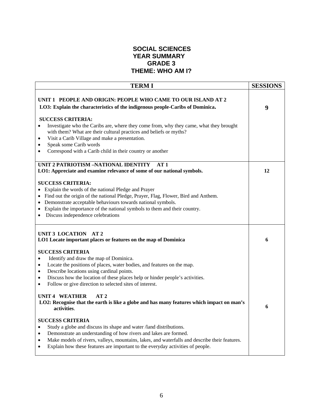### **SOCIAL SCIENCES YEAR SUMMARY GRADE 3 THEME: WHO AM I?**

| <b>TERMI</b>                                                                                                                                                                                                                                                                                                                                                                                                                                                                                                                             | <b>SESSIONS</b> |
|------------------------------------------------------------------------------------------------------------------------------------------------------------------------------------------------------------------------------------------------------------------------------------------------------------------------------------------------------------------------------------------------------------------------------------------------------------------------------------------------------------------------------------------|-----------------|
| UNIT 1 PEOPLE AND ORIGIN: PEOPLE WHO CAME TO OUR ISLAND AT 2<br>LO3: Explain the characteristics of the indigenous people-Caribs of Dominica.<br><b>SUCCESS CRITERIA:</b>                                                                                                                                                                                                                                                                                                                                                                | 9               |
| Investigate who the Caribs are, where they come from, why they came, what they brought<br>with them? What are their cultural practices and beliefs or myths?<br>Visit a Carib Village and make a presentation.<br>$\bullet$<br>Speak some Carib words<br>$\bullet$<br>Correspond with a Carib child in their country or another                                                                                                                                                                                                          |                 |
| UNIT 2 PATRIOTISM –NATIONAL IDENTITY<br>AT1<br>LO1: Appreciate and examine relevance of some of our national symbols.                                                                                                                                                                                                                                                                                                                                                                                                                    | 12              |
| <b>SUCCESS CRITERIA:</b><br>Explain the words of the national Pledge and Prayer<br>• Find out the origin of the national Pledge, Prayer, Flag, Flower, Bird and Anthem.<br>Demonstrate acceptable behaviours towards national symbols.<br>Explain the importance of the national symbols to them and their country.<br>Discuss independence celebrations<br>$\bullet$                                                                                                                                                                    |                 |
| UNIT 3 LOCATION AT 2<br>LO1 Locate important places or features on the map of Dominica                                                                                                                                                                                                                                                                                                                                                                                                                                                   | 6               |
| <b>SUCCESS CRITERIA</b><br>Identify and draw the map of Dominica.<br>$\bullet$<br>Locate the positions of places, water bodies, and features on the map.<br>$\bullet$<br>Describe locations using cardinal points.<br>٠<br>Discuss how the location of these places help or hinder people's activities.<br>$\bullet$<br>Follow or give direction to selected sites of interest.<br>$\bullet$<br><b>UNIT 4 WEATHER</b><br>AT2<br>LO2: Recognise that the earth is like a globe and has many features which impact on man's<br>activities. | 6               |
| <b>SUCCESS CRITERIA</b><br>Study a globe and discuss its shape and water /land distributions.<br>$\bullet$<br>Demonstrate an understanding of how rivers and lakes are formed.<br>$\bullet$<br>Make models of rivers, valleys, mountains, lakes, and waterfalls and describe their features.<br>$\bullet$<br>Explain how these features are important to the everyday activities of people.<br>$\bullet$                                                                                                                                 |                 |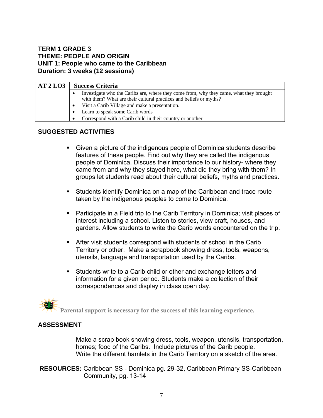### **TERM 1 GRADE 3 THEME: PEOPLE AND ORIGIN UNIT 1: People who came to the Caribbean Duration: 3 weeks (12 sessions)**

| AT2LO3 |           | <b>Success Criteria</b>                                                                                                                                      |
|--------|-----------|--------------------------------------------------------------------------------------------------------------------------------------------------------------|
|        |           | Investigate who the Caribs are, where they come from, why they came, what they brought<br>with them? What are their cultural practices and beliefs or myths? |
|        |           | • Visit a Carib Village and make a presentation.                                                                                                             |
|        | $\bullet$ | Learn to speak some Carib words                                                                                                                              |
|        |           | Correspond with a Carib child in their country or another                                                                                                    |

## **SUGGESTED ACTIVITIES**

- Given a picture of the indigenous people of Dominica students describe features of these people. Find out why they are called the indigenous people of Dominica. Discuss their importance to our history- where they came from and why they stayed here, what did they bring with them? In groups let students read about their cultural beliefs, myths and practices.
- Students identify Dominica on a map of the Caribbean and trace route taken by the indigenous peoples to come to Dominica.
- Participate in a Field trip to the Carib Territory in Dominica; visit places of interest including a school. Listen to stories, view craft, houses, and gardens. Allow students to write the Carib words encountered on the trip.
- After visit students correspond with students of school in the Carib Territory or other. Make a scrapbook showing dress, tools, weapons, utensils, language and transportation used by the Caribs.
- **Students write to a Carib child or other and exchange letters and** information for a given period. Students make a collection of their correspondences and display in class open day.

#### **ASSESSMENT**

Make a scrap book showing dress, tools, weapon, utensils, transportation, homes; food of the Caribs. Include pictures of the Carib people. Write the different hamlets in the Carib Territory on a sketch of the area.

**RESOURCES:** Caribbean SS - Dominica pg. 29-32, Caribbean Primary SS-Caribbean Community, pg. 13-14

**Parental support is necessary for the success of this learning experience.**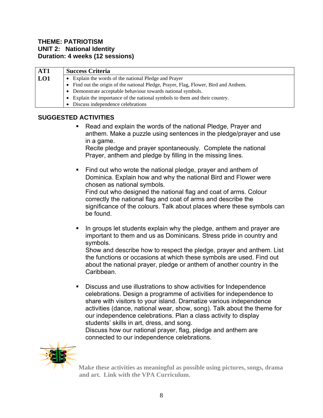#### **THEME: PATRIOTISM UNIT 2: National Identity Duration: 4 weeks (12 sessions)**

| AT1 | <b>Success Criteria</b>                                                              |  |
|-----|--------------------------------------------------------------------------------------|--|
| LO1 | Explain the words of the national Pledge and Prayer                                  |  |
|     | • Find out the origin of the national Pledge, Prayer, Flag, Flower, Bird and Anthem. |  |
|     | Demonstrate acceptable behaviour towards national symbols.                           |  |
|     | Explain the importance of the national symbols to them and their country.            |  |
|     | Discuss independence celebrations                                                    |  |

# **SUGGESTED ACTIVITIES**

 Read and explain the words of the national Pledge, Prayer and anthem. Make a puzzle using sentences in the pledge/prayer and use in a game.

Recite pledge and prayer spontaneously. Complete the national Prayer, anthem and pledge by filling in the missing lines.

 Find out who wrote the national pledge, prayer and anthem of Dominica. Explain how and why the national Bird and Flower were chosen as national symbols. Find out who designed the national flag and coat of arms. Colour correctly the national flag and coat of arms and describe the

significance of the colours. Talk about places where these symbols can be found.

In groups let students explain why the pledge, anthem and prayer are important to them and us as Dominicans. Stress pride in country and symbols.

Show and describe how to respect the pledge, prayer and anthem. List the functions or occasions at which these symbols are used. Find out about the national prayer, pledge or anthem of another country in the Caribbean.

 Discuss and use illustrations to show activities for Independence celebrations. Design a programme of activities for independence to share with visitors to your island. Dramatize various independence activities (dance, national wear, show, song). Talk about the theme for our independence celebrations. Plan a class activity to display students' skills in art, dress, and song.

Discuss how our national prayer, flag, pledge and anthem are connected to our independence celebrations.



**Make these activities as meaningful as possible using pictures, songs, drama and art. Link with the VPA Curriculum.**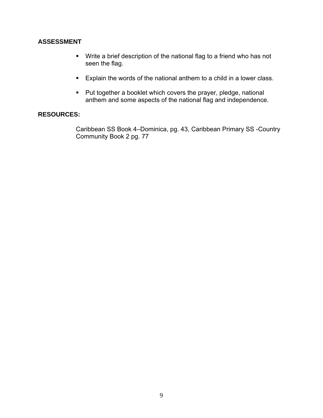## **ASSESSMENT**

- Write a brief description of the national flag to a friend who has not seen the flag.
- **Explain the words of the national anthem to a child in a lower class.**
- **Put together a booklet which covers the prayer, pledge, national** anthem and some aspects of the national flag and independence.

## **RESOURCES:**

Caribbean SS Book 4–Dominica, pg. 43, Caribbean Primary SS -Country Community Book 2 pg. 77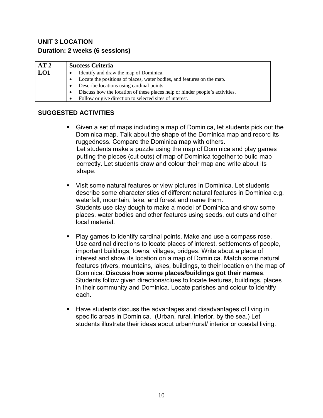# **UNIT 3 LOCATION Duration: 2 weeks (6 sessions)**

| AT2 | <b>Success Criteria</b>                                                      |
|-----|------------------------------------------------------------------------------|
| LO1 | Identify and draw the map of Dominica.                                       |
|     | Locate the positions of places, water bodies, and features on the map.       |
|     | Describe locations using cardinal points.                                    |
|     | Discuss how the location of these places help or hinder people's activities. |
|     | Follow or give direction to selected sites of interest.                      |

- Given a set of maps including a map of Dominica, let students pick out the Dominica map. Talk about the shape of the Dominica map and record its ruggedness. Compare the Dominica map with others. Let students make a puzzle using the map of Dominica and play games putting the pieces (cut outs) of map of Dominica together to build map correctly. Let students draw and colour their map and write about its shape.
- Visit some natural features or view pictures in Dominica. Let students describe some characteristics of different natural features in Dominica e.g. waterfall, mountain, lake, and forest and name them. Students use clay dough to make a model of Dominica and show some places, water bodies and other features using seeds, cut outs and other local material.
- Play games to identify cardinal points. Make and use a compass rose. Use cardinal directions to locate places of interest, settlements of people, important buildings, towns, villages, bridges. Write about a place of interest and show its location on a map of Dominica. Match some natural features (rivers, mountains, lakes, buildings, to their location on the map of Dominica. **Discuss how some places/buildings got their names**. Students follow given directions/clues to locate features, buildings, places in their community and Dominica. Locate parishes and colour to identify each.
- Have students discuss the advantages and disadvantages of living in specific areas in Dominica. (Urban, rural, interior, by the sea.) Let students illustrate their ideas about urban/rural/ interior or coastal living.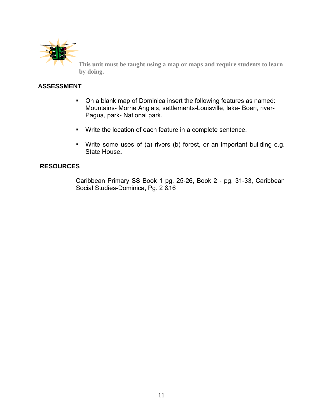

**This unit must be taught using a map or maps and require students to learn by doing.** 

# **ASSESSMENT**

- On a blank map of Dominica insert the following features as named: Mountains- Morne Anglais, settlements-Louisville, lake- Boeri, river-Pagua, park- National park.
- Write the location of each feature in a complete sentence.
- Write some uses of (a) rivers (b) forest, or an important building e.g. State House**.**

## **RESOURCES**

Caribbean Primary SS Book 1 pg. 25-26, Book 2 - pg. 31-33, Caribbean Social Studies-Dominica, Pg. 2 &16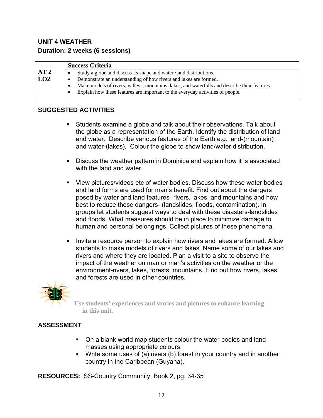# **UNIT 4 WEATHER Duration: 2 weeks (6 sessions)**

|     |           | <b>Success Criteria</b>                                                                       |
|-----|-----------|-----------------------------------------------------------------------------------------------|
| AT2 | ٠         | Study a globe and discuss its shape and water / land distributions.                           |
| LO2 | $\bullet$ | Demonstrate an understanding of how rivers and lakes are formed.                              |
|     | $\bullet$ | Make models of rivers, valleys, mountains, lakes, and waterfalls and describe their features. |
|     |           | Explain how these features are important to the everyday activities of people.                |
|     |           |                                                                                               |

# **SUGGESTED ACTIVITIES**

- Students examine a globe and talk about their observations. Talk about the globe as a representation of the Earth. Identify the distribution of land and water. Describe various features of the Earth e.g. land-(mountain) and water-(lakes). Colour the globe to show land/water distribution.
- Discuss the weather pattern in Dominica and explain how it is associated with the land and water.
- View pictures/videos etc of water bodies. Discuss how these water bodies and land forms are used for man's benefit. Find out about the dangers posed by water and land features- rivers, lakes, and mountains and how best to reduce these dangers- (landslides, floods, contamination). In groups let students suggest ways to deal with these disasters-landslides and floods. What measures should be in place to minimize damage to human and personal belongings. Collect pictures of these phenomena.
- **IDUM** 11 Invite a resource person to explain how rivers and lakes are formed. Allow students to make models of rivers and lakes. Name some of our lakes and rivers and where they are located. Plan a visit to a site to observe the impact of the weather on man or man's activities on the weather or the environment-rivers, lakes, forests, mountains. Find out how rivers, lakes and forests are used in other countries.



 **Use students' experiences and stories and pictures to enhance learning in this unit.** 

# **ASSESSMENT**

- On a blank world map students colour the water bodies and land masses using appropriate colours.
- Write some uses of (a) rivers (b) forest in your country and in another country in the Caribbean (Guyana).

**RESOURCES:** SS-Country Community, Book 2, pg. 34-35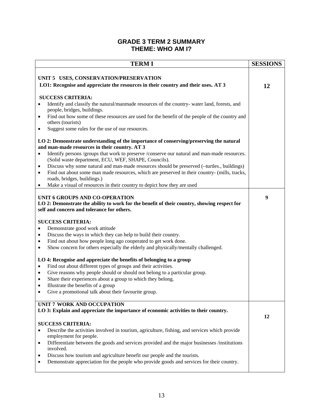#### **GRADE 3 TERM 2 SUMMARY THEME: WHO AM I?**

| <b>TERMI</b>                                                                                                                                                                                                                                                                                                                                                                                                                                                                                                                                                                                                                                                                                                                                                                                                                                                                                                                      | <b>SESSIONS</b> |
|-----------------------------------------------------------------------------------------------------------------------------------------------------------------------------------------------------------------------------------------------------------------------------------------------------------------------------------------------------------------------------------------------------------------------------------------------------------------------------------------------------------------------------------------------------------------------------------------------------------------------------------------------------------------------------------------------------------------------------------------------------------------------------------------------------------------------------------------------------------------------------------------------------------------------------------|-----------------|
| UNIT 5 USES, CONSERVATION/PRESERVATION<br>LO1: Recognise and appreciate the resources in their country and their uses. AT 3                                                                                                                                                                                                                                                                                                                                                                                                                                                                                                                                                                                                                                                                                                                                                                                                       | 12              |
| <b>SUCCESS CRITERIA:</b><br>Identify and classify the natural/manmade resources of the country- water land, forests, and<br>$\bullet$<br>people, bridges, buildings.<br>Find out how some of these resources are used for the benefit of the people of the country and<br>$\bullet$<br>others (tourists)<br>Suggest some rules for the use of our resources.<br>٠<br>LO 2: Demonstrate understanding of the importance of conserving/preserving the natural<br>and man-made resources in their country. AT 3<br>Identify persons /groups that work to preserve /conserve our natural and man-made resources.<br>$\bullet$<br>(Solid waste department, ECU, WEF, SHAPE, Councils).<br>Discuss why some natural and man-made resources should be preserved (-turtles., buildings)<br>٠<br>Find out about some man made resources, which are preserved in their country- (mills, tracks,<br>$\bullet$<br>roads, bridges, buildings.) |                 |
| Make a visual of resources in their country to depict how they are used<br>$\bullet$<br>UNIT 6 GROUPS AND CO-OPERATION<br>LO 2: Demonstrate the ability to work for the benefit of their country, showing respect for<br>self and concern and tolerance for others.                                                                                                                                                                                                                                                                                                                                                                                                                                                                                                                                                                                                                                                               | 9               |
| <b>SUCCESS CRITERIA:</b><br>Demonstrate good work attitude<br>$\bullet$<br>Discuss the ways in which they can help to build their country.<br>$\bullet$<br>Find out about how people long ago cooperated to get work done.<br>$\bullet$<br>Show concern for others especially the elderly and physically/mentally challenged.<br>$\bullet$<br>LO 4: Recognise and appreciate the benefits of belonging to a group<br>Find out about different types of groups and their activities.<br>$\bullet$<br>Give reasons why people should or should not belong to a particular group.<br>$\bullet$<br>Share their experiences about a group to which they belong.<br>$\bullet$<br>Illustrate the benefits of a group<br>$\bullet$<br>Give a promotional talk about their favourite group.<br>$\bullet$                                                                                                                                   |                 |
| UNIT 7 WORK AND OCCUPATION<br>LO 3: Explain and appreciate the importance of economic activities to their country.<br><b>SUCCESS CRITERIA:</b><br>Describe the activities involved in tourism, agriculture, fishing, and services which provide<br>employment for people.<br>Differentiate between the goods and services provided and the major businesses /institutions<br>$\bullet$<br>involved.<br>Discuss how tourism and agriculture benefit our people and the tourists.<br>٠                                                                                                                                                                                                                                                                                                                                                                                                                                              | 12              |
| Demonstrate appreciation for the people who provide goods and services for their country.<br>$\bullet$                                                                                                                                                                                                                                                                                                                                                                                                                                                                                                                                                                                                                                                                                                                                                                                                                            |                 |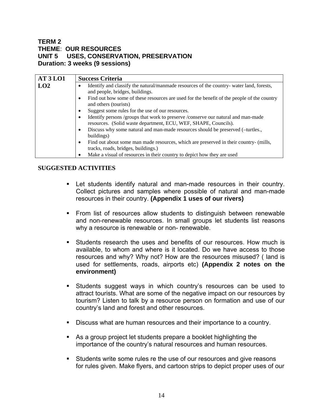## **TERM 2 THEME**: **OUR RESOURCES UNIT 5 USES, CONSERVATION, PRESERVATION Duration: 3 weeks (9 sessions)**

| <b>AT3LO1</b> | <b>Success Criteria</b>                                                                                                                                   |
|---------------|-----------------------------------------------------------------------------------------------------------------------------------------------------------|
| LO2           | Identify and classify the natural/manmade resources of the country- water land, forests,<br>and people, bridges, buildings.                               |
|               | Find out how some of these resources are used for the benefit of the people of the country<br>٠<br>and others (tourists)                                  |
|               | Suggest some rules for the use of our resources.                                                                                                          |
|               | Identify persons /groups that work to preserve /conserve our natural and man-made<br>٠<br>resources. (Solid waste department, ECU, WEF, SHAPE, Councils). |
|               | Discuss why some natural and man-made resources should be preserved (-turtles.,<br>$\bullet$<br>buildings)                                                |
|               | Find out about some man made resources, which are preserved in their country- (mills,<br>$\bullet$<br>tracks, roads, bridges, buildings.)                 |
|               | Make a visual of resources in their country to depict how they are used<br>٠                                                                              |

- Let students identify natural and man-made resources in their country. Collect pictures and samples where possible of natural and man-made resources in their country. **(Appendix 1 uses of our rivers)**
- **From list of resources allow students to distinguish between renewable** and non-renewable resources. In small groups let students list reasons why a resource is renewable or non- renewable.
- Students research the uses and benefits of our resources. How much is available, to whom and where is it located. Do we have access to those resources and why? Why not? How are the resources misused? ( land is used for settlements, roads, airports etc) **(Appendix 2 notes on the environment)**
- Students suggest ways in which country's resources can be used to attract tourists. What are some of the negative impact on our resources by tourism? Listen to talk by a resource person on formation and use of our country's land and forest and other resources.
- Discuss what are human resources and their importance to a country.
- As a group project let students prepare a booklet highlighting the importance of the country's natural resources and human resources.
- Students write some rules re the use of our resources and give reasons for rules given. Make flyers, and cartoon strips to depict proper uses of our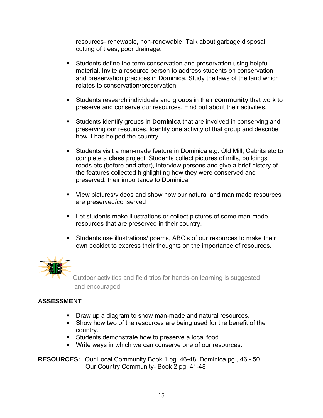resources- renewable, non-renewable. Talk about garbage disposal, cutting of trees, poor drainage.

- Students define the term conservation and preservation using helpful material. Invite a resource person to address students on conservation and preservation practices in Dominica. Study the laws of the land which relates to conservation/preservation.
- Students research individuals and groups in their **community** that work to preserve and conserve our resources. Find out about their activities.
- Students identify groups in **Dominica** that are involved in conserving and preserving our resources. Identify one activity of that group and describe how it has helped the country.
- Students visit a man-made feature in Dominica e.g. Old Mill, Cabrits etc to complete a **class** project. Students collect pictures of mills, buildings, roads etc (before and after), interview persons and give a brief history of the features collected highlighting how they were conserved and preserved, their importance to Dominica.
- View pictures/videos and show how our natural and man made resources are preserved/conserved
- **EXECT** Let students make illustrations or collect pictures of some man made resources that are preserved in their country.
- Students use illustrations/ poems, ABC's of our resources to make their own booklet to express their thoughts on the importance of resources.



Outdoor activities and field trips for hands-on learning is suggested and encouraged.

# **ASSESSMENT**

- **Draw up a diagram to show man-made and natural resources.**
- Show how two of the resources are being used for the benefit of the country.
- **Students demonstrate how to preserve a local food.**
- Write ways in which we can conserve one of our resources.

**RESOURCES:** Our Local Community Book 1 pg. 46-48, Dominica pg., 46 - 50 Our Country Community- Book 2 pg. 41-48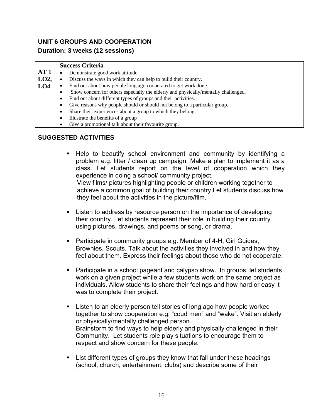# **UNIT 6 GROUPS AND COOPERATION Duration: 3 weeks (12 sessions)**

|                 | <b>Success Criteria</b> |                                                                                    |
|-----------------|-------------------------|------------------------------------------------------------------------------------|
| AT 1            |                         | Demonstrate good work attitude                                                     |
| LO2,            |                         | Discuss the ways in which they can help to build their country.                    |
| LO <sub>4</sub> |                         | Find out about how people long ago cooperated to get work done.                    |
|                 |                         | Show concern for others especially the elderly and physically/mentally challenged. |
|                 |                         | Find out about different types of groups and their activities.                     |
|                 |                         | Give reasons why people should or should not belong to a particular group.         |
|                 |                         | Share their experiences about a group to which they belong.                        |
|                 |                         | Illustrate the benefits of a group                                                 |
|                 |                         | Give a promotional talk about their favourite group.                               |

- Help to beautify school environment and community by identifying a problem e.g. litter / clean up campaign. Make a plan to implement it as a class. Let students report on the level of cooperation which they experience in doing a school/ community project. View films/ pictures highlighting people or children working together to achieve a common goal of building their country Let students discuss how they feel about the activities in the picture/film.
- Listen to address by resource person on the importance of developing their country. Let students represent their role in building their country using pictures, drawings, and poems or song, or drama.
- Participate in community groups e.g. Member of 4-H, Girl Guides, Brownies, Scouts. Talk about the activities they involved in and how they feel about them. Express their feelings about those who do not cooperate.
- Participate in a school pageant and calypso show. In groups, let students work on a given project while a few students work on the same project as individuals. Allow students to share their feelings and how hard or easy it was to complete their project.
- **EXECT** Listen to an elderly person tell stories of long ago how people worked together to show cooperation e.g. "coud men" and "wake". Visit an elderly or physically/mentally challenged person. Brainstorm to find ways to help elderly and physically challenged in their Community. Let students role play situations to encourage them to respect and show concern for these people.
- List different types of groups they know that fall under these headings (school, church, entertainment, clubs) and describe some of their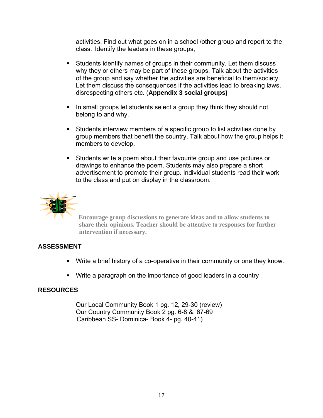activities. Find out what goes on in a school /other group and report to the class. Identify the leaders in these groups,

- Students identify names of groups in their community. Let them discuss why they or others may be part of these groups. Talk about the activities of the group and say whether the activities are beneficial to them/society. Let them discuss the consequences if the activities lead to breaking laws, disrespecting others etc. (**Appendix 3 social groups)**
- In small groups let students select a group they think they should not belong to and why.
- Students interview members of a specific group to list activities done by group members that benefit the country. Talk about how the group helps it members to develop.
- Students write a poem about their favourite group and use pictures or drawings to enhance the poem. Students may also prepare a short advertisement to promote their group. Individual students read their work to the class and put on display in the classroom.



**Encourage group discussions to generate ideas and to allow students to share their opinions. Teacher should be attentive to responses for further intervention if necessary.** 

# **ASSESSMENT**

- Write a brief history of a co-operative in their community or one they know.
- Write a paragraph on the importance of good leaders in a country

#### **RESOURCES**

Our Local Community Book 1 pg. 12, 29-30 (review) Our Country Community Book 2 pg. 6-8 &, 67-69 Caribbean SS- Dominica- Book 4- pg. 40-41)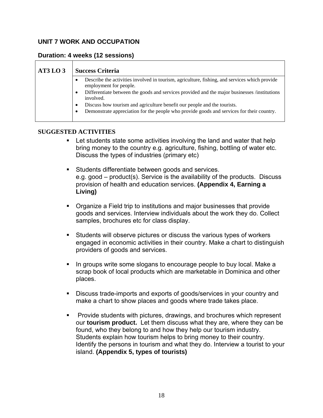# **UNIT 7 WORK AND OCCUPATION**

### **Duration: 4 weeks (12 sessions)**

| AT3LO3 | <b>Success Criteria</b>                                                                                                                                                                                                                                                                                                                                                                                                 |
|--------|-------------------------------------------------------------------------------------------------------------------------------------------------------------------------------------------------------------------------------------------------------------------------------------------------------------------------------------------------------------------------------------------------------------------------|
|        | Describe the activities involved in tourism, agriculture, fishing, and services which provide<br>employment for people.<br>Differentiate between the goods and services provided and the major businesses /institutions<br>involved.<br>Discuss how tourism and agriculture benefit our people and the tourists.<br>٠<br>Demonstrate appreciation for the people who provide goods and services for their country.<br>٠ |

- Let students state some activities involving the land and water that help bring money to the country e.g. agriculture, fishing, bottling of water etc. Discuss the types of industries (primary etc)
- **Students differentiate between goods and services.** e.g. good – product(s). Service is the availability of the products. Discuss provision of health and education services. **(Appendix 4, Earning a Living)**
- Organize a Field trip to institutions and major businesses that provide goods and services. Interview individuals about the work they do. Collect samples, brochures etc for class display.
- Students will observe pictures or discuss the various types of workers engaged in economic activities in their country. Make a chart to distinguish providers of goods and services.
- In groups write some slogans to encourage people to buy local. Make a scrap book of local products which are marketable in Dominica and other places.
- Discuss trade-imports and exports of goods/services in your country and make a chart to show places and goods where trade takes place.
- **Provide students with pictures, drawings, and brochures which represent** our **tourism product.** Let them discuss what they are, where they can be found, who they belong to and how they help our tourism industry. Students explain how tourism helps to bring money to their country. Identify the persons in tourism and what they do. Interview a tourist to your island. **(Appendix 5, types of tourists)**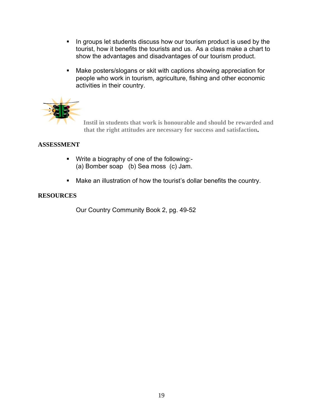- In groups let students discuss how our tourism product is used by the tourist, how it benefits the tourists and us. As a class make a chart to show the advantages and disadvantages of our tourism product.
- Make posters/slogans or skit with captions showing appreciation for people who work in tourism, agriculture, fishing and other economic activities in their country.



 **Instil in students that work is honourable and should be rewarded and that the right attitudes are necessary for success and satisfaction.** 

# **ASSESSMENT**

- Write a biography of one of the following:- (a) Bomber soap (b) Sea moss (c) Jam.
- Make an illustration of how the tourist's dollar benefits the country.

#### **RESOURCES**

Our Country Community Book 2, pg. 49-52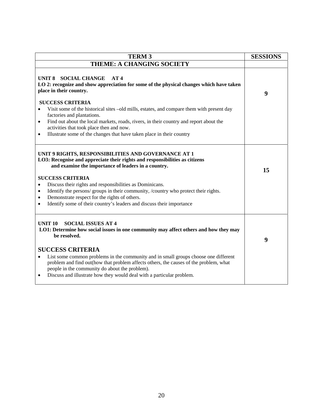| <b>TERM 3</b>                                                                                                                                                                                                                                                                                                                                                                                                                                                                                                                                         | <b>SESSIONS</b> |
|-------------------------------------------------------------------------------------------------------------------------------------------------------------------------------------------------------------------------------------------------------------------------------------------------------------------------------------------------------------------------------------------------------------------------------------------------------------------------------------------------------------------------------------------------------|-----------------|
| <b>THEME: A CHANGING SOCIETY</b>                                                                                                                                                                                                                                                                                                                                                                                                                                                                                                                      |                 |
| UNIT 8 SOCIAL CHANGE<br>AT4<br>LO 2: recognize and show appreciation for some of the physical changes which have taken<br>place in their country.                                                                                                                                                                                                                                                                                                                                                                                                     | 9               |
| <b>SUCCESS CRITERIA</b><br>Visit some of the historical sites –old mills, estates, and compare them with present day<br>$\bullet$<br>factories and plantations.<br>Find out about the local markets, roads, rivers, in their country and report about the<br>$\bullet$<br>activities that took place then and now.<br>Illustrate some of the changes that have taken place in their country<br>$\bullet$                                                                                                                                              |                 |
| UNIT 9 RIGHTS, RESPONSIBILITIES AND GOVERNANCE AT 1<br>LO3: Recognise and appreciate their rights and responsibilities as citizens<br>and examine the importance of leaders in a country.<br><b>SUCCESS CRITERIA</b><br>Discuss their rights and responsibilities as Dominicans.<br>$\bullet$<br>Identify the persons/ groups in their community, /country who protect their rights.<br>$\bullet$<br>Demonstrate respect for the rights of others.<br>$\bullet$<br>Identify some of their country's leaders and discuss their importance<br>$\bullet$ | 15              |
| <b>UNIT 10</b><br><b>SOCIAL ISSUES AT 4</b><br>LO1: Determine how social issues in one community may affect others and how they may<br>be resolved.<br><b>SUCCESS CRITERIA</b><br>List some common problems in the community and in small groups choose one different<br>$\bullet$<br>problem and find out(how that problem affects others, the causes of the problem, what<br>people in the community do about the problem).<br>Discuss and illustrate how they would deal with a particular problem.<br>$\bullet$                                   | 9               |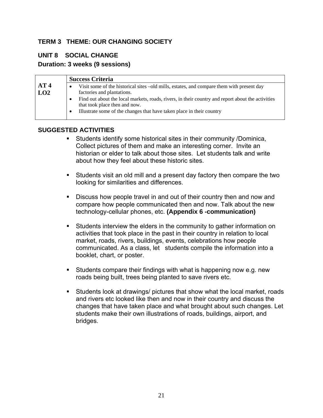# **TERM 3 THEME: OUR CHANGING SOCIETY**

# **UNIT 8 SOCIAL CHANGE**

## **Duration: 3 weeks (9 sessions)**

|                        |   | <b>Success Criteria</b>                                                                                                            |
|------------------------|---|------------------------------------------------------------------------------------------------------------------------------------|
| AT <sub>4</sub><br>LO2 | ٠ | Visit some of the historical sites –old mills, estates, and compare them with present day<br>factories and plantations.            |
|                        | ٠ | Find out about the local markets, roads, rivers, in their country and report about the activities<br>that took place then and now. |
|                        | ٠ | Illustrate some of the changes that have taken place in their country                                                              |

- Students identify some historical sites in their community /Dominica, Collect pictures of them and make an interesting corner. Invite an historian or elder to talk about those sites. Let students talk and write about how they feel about these historic sites.
- Students visit an old mill and a present day factory then compare the two looking for similarities and differences.
- Discuss how people travel in and out of their country then and now and compare how people communicated then and now. Talk about the new technology-cellular phones, etc. **(Appendix 6 -communication)**
- Students interview the elders in the community to gather information on activities that took place in the past in their country in relation to local market, roads, rivers, buildings, events, celebrations how people communicated. As a class, let students compile the information into a booklet, chart, or poster.
- Students compare their findings with what is happening now e.g. new roads being built, trees being planted to save rivers etc.
- Students look at drawings/ pictures that show what the local market, roads and rivers etc looked like then and now in their country and discuss the changes that have taken place and what brought about such changes. Let students make their own illustrations of roads, buildings, airport, and bridges.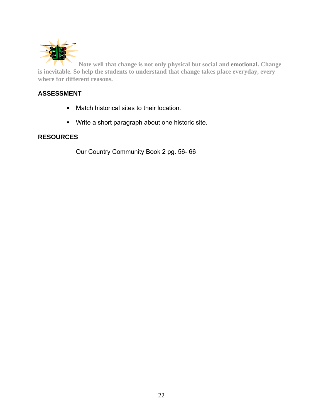

**Note well that change is not only physical but social and emotional. Change is inevitable. So help the students to understand that change takes place everyday, every where for different reasons.** 

# **ASSESSMENT**

- **Match historical sites to their location.**
- Write a short paragraph about one historic site.

## **RESOURCES**

Our Country Community Book 2 pg. 56- 66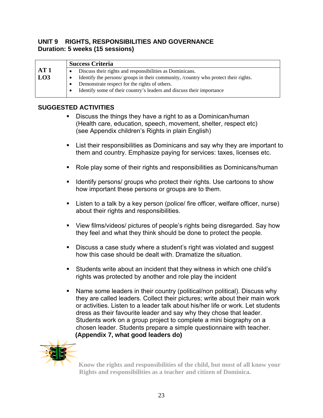## **UNIT 9 RIGHTS, RESPONSIBILITIES AND GOVERNANCE Duration: 5 weeks (15 sessions)**

|             | <b>Success Criteria</b>                                                            |
|-------------|------------------------------------------------------------------------------------|
| AT1         | Discuss their rights and responsibilities as Dominicans.                           |
| $\vert$ LO3 | Identify the persons/groups in their community, /country who protect their rights. |
|             | Demonstrate respect for the rights of others.                                      |
|             | Identify some of their country's leaders and discuss their importance              |
|             |                                                                                    |

# **SUGGESTED ACTIVITIES**

- Discuss the things they have a right to as a Dominican/human (Health care, education, speech, movement, shelter, respect etc) (see Appendix children's Rights in plain English)
- List their responsibilities as Dominicans and say why they are important to them and country. Emphasize paying for services: taxes, licenses etc.
- Role play some of their rights and responsibilities as Dominicans/human
- I Identify persons/ groups who protect their rights. Use cartoons to show how important these persons or groups are to them.
- Listen to a talk by a key person (police/ fire officer, welfare officer, nurse) about their rights and responsibilities.
- View films/videos/ pictures of people's rights being disregarded. Say how they feel and what they think should be done to protect the people.
- Discuss a case study where a student's right was violated and suggest how this case should be dealt with. Dramatize the situation.
- Students write about an incident that they witness in which one child's rights was protected by another and role play the incident
- Name some leaders in their country (political/non political). Discuss why they are called leaders. Collect their pictures; write about their main work or activities. Listen to a leader talk about his/her life or work. Let students dress as their favourite leader and say why they chose that leader. Students work on a group project to complete a mini biography on a chosen leader. Students prepare a simple questionnaire with teacher.  **(Appendix 7, what good leaders do)**



**Know the rights and responsibilities of the child, but most of all know your Rights and responsibilities as a teacher and citizen of Dominica.**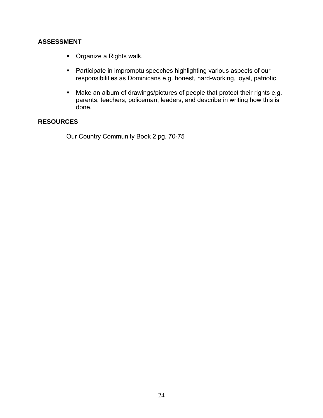## **ASSESSMENT**

- **•** Organize a Rights walk.
- **Participate in impromptu speeches highlighting various aspects of our** responsibilities as Dominicans e.g. honest, hard-working, loyal, patriotic.
- Make an album of drawings/pictures of people that protect their rights e.g. parents, teachers, policeman, leaders, and describe in writing how this is done.

# **RESOURCES**

Our Country Community Book 2 pg. 70-75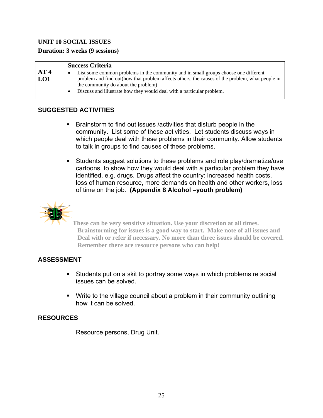# **UNIT 10 SOCIAL ISSUES**

| <b>Duration: 3 weeks (9 sessions)</b> |  |  |  |  |  |  |
|---------------------------------------|--|--|--|--|--|--|
|---------------------------------------|--|--|--|--|--|--|

|                        | <b>Success Criteria</b>                                                                                                                                                                                                                                                                                 |
|------------------------|---------------------------------------------------------------------------------------------------------------------------------------------------------------------------------------------------------------------------------------------------------------------------------------------------------|
| AT <sub>4</sub><br>LO1 | List some common problems in the community and in small groups choose one different<br>problem and find out (how that problem affects others, the causes of the problem, what people in<br>the community do about the problem)<br>Discuss and illustrate how they would deal with a particular problem. |

## **SUGGESTED ACTIVITIES**

- Brainstorm to find out issues /activities that disturb people in the community. List some of these activities. Let students discuss ways in which people deal with these problems in their community. Allow students to talk in groups to find causes of these problems.
- Students suggest solutions to these problems and role play/dramatize/use cartoons, to show how they would deal with a particular problem they have identified, e.g. drugs. Drugs affect the country: increased health costs, loss of human resource, more demands on health and other workers, loss of time on the job. **(Appendix 8 Alcohol –youth problem)**



**These can be very sensitive situation. Use your discretion at all times. Brainstorming for issues is a good way to start. Make note of all issues and Deal with or refer if necessary. No more than three issues should be covered. Remember there are resource persons who can help!** 

# **ASSESSMENT**

- Students put on a skit to portray some ways in which problems re social issues can be solved.
- Write to the village council about a problem in their community outlining how it can be solved.

# **RESOURCES**

Resource persons, Drug Unit.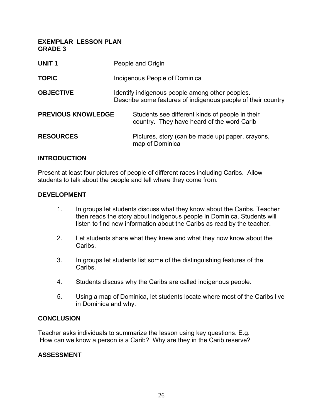**EXEMPLAR LESSON PLAN GRADE 3** 

| <b>UNIT1</b>              | People and Origin                                                                                               |
|---------------------------|-----------------------------------------------------------------------------------------------------------------|
| <b>TOPIC</b>              | Indigenous People of Dominica                                                                                   |
| <b>OBJECTIVE</b>          | Identify indigenous people among other peoples.<br>Describe some features of indigenous people of their country |
| <b>PREVIOUS KNOWLEDGE</b> | Students see different kinds of people in their<br>country. They have heard of the word Carib                   |
| <b>RESOURCES</b>          | Pictures, story (can be made up) paper, crayons,<br>map of Dominica                                             |

#### **INTRODUCTION**

Present at least four pictures of people of different races including Caribs. Allow students to talk about the people and tell where they come from.

#### **DEVELOPMENT**

- 1. In groups let students discuss what they know about the Caribs. Teacher then reads the story about indigenous people in Dominica. Students will listen to find new information about the Caribs as read by the teacher.
- 2. Let students share what they knew and what they now know about the Caribs.
- 3. In groups let students list some of the distinguishing features of the Caribs.
- 4. Students discuss why the Caribs are called indigenous people.
- 5. Using a map of Dominica, let students locate where most of the Caribs live in Dominica and why.

#### **CONCLUSION**

Teacher asks individuals to summarize the lesson using key questions. E.g. How can we know a person is a Carib? Why are they in the Carib reserve?

#### **ASSESSMENT**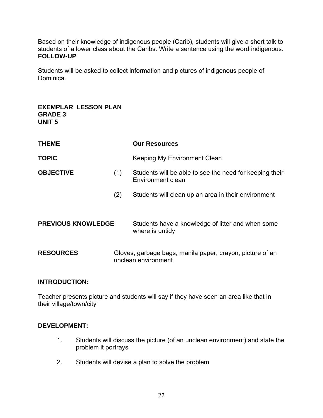Based on their knowledge of indigenous people (Carib), students will give a short talk to students of a lower class about the Caribs. Write a sentence using the word indigenous. **FOLLOW-UP** 

Students will be asked to collect information and pictures of indigenous people of Dominica.

| <b>EXEMPLAR LESSON PLAN</b><br><b>GRADE 3</b><br><b>UNIT 5</b> |     |                                                                                  |
|----------------------------------------------------------------|-----|----------------------------------------------------------------------------------|
| <b>THEME</b>                                                   |     | <b>Our Resources</b>                                                             |
| <b>TOPIC</b>                                                   |     | Keeping My Environment Clean                                                     |
| <b>OBJECTIVE</b>                                               | (1) | Students will be able to see the need for keeping their<br>Environment clean     |
|                                                                | (2) | Students will clean up an area in their environment                              |
| <b>PREVIOUS KNOWLEDGE</b>                                      |     | Students have a knowledge of litter and when some<br>where is untidy             |
| <b>RESOURCES</b>                                               |     | Gloves, garbage bags, manila paper, crayon, picture of an<br>unclean environment |

### **INTRODUCTION:**

Teacher presents picture and students will say if they have seen an area like that in their village/town/city

#### **DEVELOPMENT:**

- 1. Students will discuss the picture (of an unclean environment) and state the problem it portrays
- 2. Students will devise a plan to solve the problem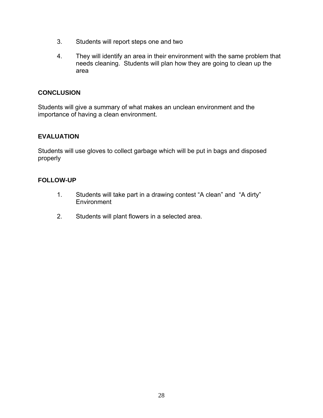- 3. Students will report steps one and two
- 4. They will identify an area in their environment with the same problem that needs cleaning. Students will plan how they are going to clean up the area

## **CONCLUSION**

Students will give a summary of what makes an unclean environment and the importance of having a clean environment.

# **EVALUATION**

Students will use gloves to collect garbage which will be put in bags and disposed properly

#### **FOLLOW-UP**

- 1. Students will take part in a drawing contest "A clean" and "A dirty" **Environment**
- 2. Students will plant flowers in a selected area.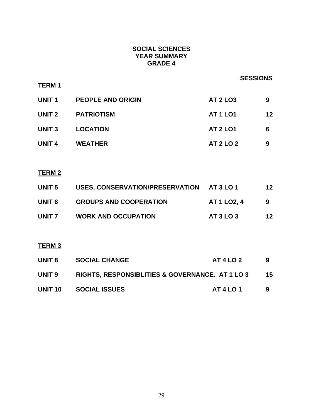# **SOCIAL SCIENCES YEAR SUMMARY GRADE 4**

|                   |                                                 | <b>SESSIONS</b>    |    |
|-------------------|-------------------------------------------------|--------------------|----|
| <b>TERM1</b>      |                                                 |                    |    |
| UNIT 1            | <b>PEOPLE AND ORIGIN</b>                        | <b>AT 2 LO3</b>    | 9  |
| UNIT <sub>2</sub> | <b>PATRIOTISM</b>                               | <b>AT 1 LO1</b>    | 12 |
| <b>UNIT 3</b>     | <b>LOCATION</b>                                 | <b>AT 2 LO1</b>    | 6  |
| <b>UNIT 4</b>     | <b>WEATHER</b>                                  | <b>AT 2 LO 2</b>   | 9  |
|                   |                                                 |                    |    |
| <u>TERM 2</u>     |                                                 |                    |    |
| <b>UNIT 5</b>     | USES, CONSERVATION/PRESERVATION AT 3 LO 1       |                    | 12 |
| <b>UNIT 6</b>     | <b>GROUPS AND COOPERATION</b>                   | <b>AT 1 LO2, 4</b> | 9  |
|                   | UNIT 7 WORK AND OCCUPATION                      | <b>AT 3 LO 3</b>   | 12 |
|                   |                                                 |                    |    |
| <b>TERM 3</b>     |                                                 |                    |    |
| <b>UNIT 8</b>     | <b>SOCIAL CHANGE</b>                            | <b>AT 4 LO 2</b>   | 9  |
| <b>UNIT 9</b>     | RIGHTS, RESPONSIBLITIES & GOVERNANCE. AT 1 LO 3 |                    | 15 |
| <b>UNIT 10</b>    | <b>SOCIAL ISSUES</b>                            | <b>AT 4 LO 1</b>   | 9  |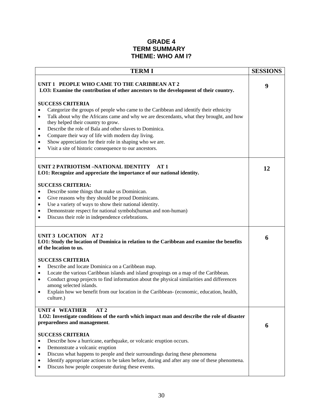## **GRADE 4 TERM SUMMARY THEME: WHO AM I?**

| <b>TERMI</b>                                                                                                                                                         | <b>SESSIONS</b> |
|----------------------------------------------------------------------------------------------------------------------------------------------------------------------|-----------------|
| UNIT 1 PEOPLE WHO CAME TO THE CARIBBEAN AT 2<br>LO3: Examine the contribution of other ancestors to the development of their country.                                | 9               |
| <b>SUCCESS CRITERIA</b>                                                                                                                                              |                 |
| Categorize the groups of people who came to the Caribbean and identify their ethnicity<br>$\bullet$                                                                  |                 |
| Talk about why the Africans came and why we are descendants, what they brought, and how<br>$\bullet$                                                                 |                 |
| they helped their country to grow.                                                                                                                                   |                 |
| Describe the role of Bala and other slaves to Dominica.<br>$\bullet$<br>Compare their way of life with modern day living.<br>$\bullet$                               |                 |
| Show appreciation for their role in shaping who we are.<br>٠                                                                                                         |                 |
| Visit a site of historic consequence to our ancestors.<br>٠                                                                                                          |                 |
|                                                                                                                                                                      |                 |
| UNIT 2 PATRIOTISM -NATIONAL IDENTITY<br>AT 1<br>LO1: Recognize and appreciate the importance of our national identity.                                               | 12              |
|                                                                                                                                                                      |                 |
| <b>SUCCESS CRITERIA:</b>                                                                                                                                             |                 |
| Describe some things that make us Dominican.<br>$\bullet$                                                                                                            |                 |
| Give reasons why they should be proud Dominicans.<br>٠                                                                                                               |                 |
| Use a variety of ways to show their national identity.<br>$\bullet$                                                                                                  |                 |
| Demonstrate respect for national symbols (human and non-human)<br>$\bullet$                                                                                          |                 |
| Discuss their role in independence celebrations.<br>٠                                                                                                                |                 |
| UNIT 3 LOCATION AT 2<br>LO1: Study the location of Dominica in relation to the Caribbean and examine the benefits<br>of the location to us.                          | 6               |
| <b>SUCCESS CRITERIA</b>                                                                                                                                              |                 |
| Describe and locate Dominica on a Caribbean map.<br>$\bullet$                                                                                                        |                 |
| Locate the various Caribbean islands and island groupings on a map of the Caribbean.<br>$\bullet$                                                                    |                 |
| Conduct group projects to find information about the physical similarities and differences<br>$\bullet$                                                              |                 |
| among selected islands.                                                                                                                                              |                 |
| Explain how we benefit from our location in the Caribbean- (economic, education, health,<br>$\bullet$<br>culture.)                                                   |                 |
| <b>UNIT 4 WEATHER</b><br>AT2                                                                                                                                         |                 |
| LO2: Investigate conditions of the earth which impact man and describe the role of disaster                                                                          |                 |
| preparedness and management.                                                                                                                                         | 6               |
|                                                                                                                                                                      |                 |
| <b>SUCCESS CRITERIA</b>                                                                                                                                              |                 |
| Describe how a hurricane, earthquake, or volcanic eruption occurs.<br>$\bullet$                                                                                      |                 |
| Demonstrate a volcanic eruption<br>$\bullet$                                                                                                                         |                 |
| Discuss what happens to people and their surroundings during these phenomena<br>$\bullet$                                                                            |                 |
| Identify appropriate actions to be taken before, during and after any one of these phenomena.<br>$\bullet$<br>Discuss how people cooperate during these events.<br>٠ |                 |
|                                                                                                                                                                      |                 |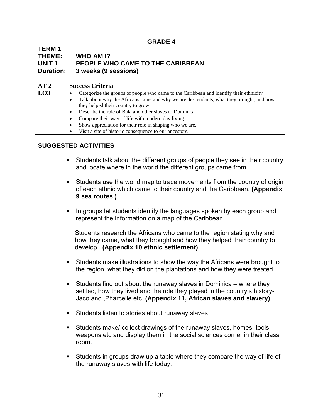#### **GRADE 4**

#### **TERM 1 THEME: WHO AM I? UNIT 1 PEOPLE WHO CAME TO THE CARIBBEAN Duration: 3 weeks (9 sessions)**

| AT2 |   | <b>Success Criteria</b>                                                                 |
|-----|---|-----------------------------------------------------------------------------------------|
| LO3 |   | Categorize the groups of people who came to the Caribbean and identify their ethnicity  |
|     | ٠ | Talk about why the Africans came and why we are descendants, what they brought, and how |
|     |   | they helped their country to grow.                                                      |
|     | ٠ | Describe the role of Bala and other slaves to Dominica.                                 |
|     | ٠ | Compare their way of life with modern day living.                                       |
|     | ٠ | Show appreciation for their role in shaping who we are.                                 |
|     |   | Visit a site of historic consequence to our ancestors.                                  |

## **SUGGESTED ACTIVITIES**

- Students talk about the different groups of people they see in their country and locate where in the world the different groups came from.
- Students use the world map to trace movements from the country of origin of each ethnic which came to their country and the Caribbean. **(Appendix 9 sea routes )**
- If In groups let students identify the languages spoken by each group and represent the information on a map of the Caribbean

 Students research the Africans who came to the region stating why and how they came, what they brought and how they helped their country to develop. **(Appendix 10 ethnic settlement)** 

- Students make illustrations to show the way the Africans were brought to the region, what they did on the plantations and how they were treated
- Students find out about the runaway slaves in Dominica where they settled, how they lived and the role they played in the country's history-Jaco and ,Pharcelle etc. **(Appendix 11, African slaves and slavery)**
- **Students listen to stories about runaway slaves**
- Students make/ collect drawings of the runaway slaves, homes, tools, weapons etc and display them in the social sciences corner in their class room.
- Students in groups draw up a table where they compare the way of life of the runaway slaves with life today.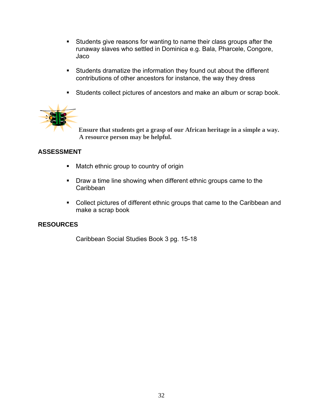- Students give reasons for wanting to name their class groups after the runaway slaves who settled in Dominica e.g. Bala, Pharcele, Congore, Jaco
- Students dramatize the information they found out about the different contributions of other ancestors for instance, the way they dress
- **Students collect pictures of ancestors and make an album or scrap book.**



**Ensure that students get a grasp of our African heritage in a simple a way. A resource person may be helpful.** 

# **ASSESSMENT**

- **Match ethnic group to country of origin**
- **•** Draw a time line showing when different ethnic groups came to the Caribbean
- Collect pictures of different ethnic groups that came to the Caribbean and make a scrap book

# **RESOURCES**

Caribbean Social Studies Book 3 pg. 15-18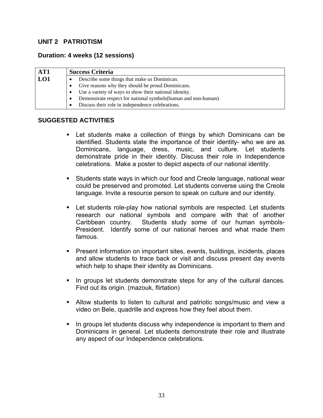#### **UNIT 2 PATRIOTISM**

#### **Duration: 4 weeks (12 sessions)**

| AT1 |           | <b>Success Criteria</b>                                        |  |  |  |  |  |
|-----|-----------|----------------------------------------------------------------|--|--|--|--|--|
| LO1 |           | Describe some things that make us Dominican.                   |  |  |  |  |  |
|     | ٠         | Give reasons why they should be proud Dominicans.              |  |  |  |  |  |
|     | $\bullet$ | Use a variety of ways to show their national identity.         |  |  |  |  |  |
|     | ٠         | Demonstrate respect for national symbols (human and non-human) |  |  |  |  |  |
|     |           | Discuss their role in independence celebrations.               |  |  |  |  |  |

- Let students make a collection of things by which Dominicans can be identified. Students state the importance of their identity- who we are as Dominicans, language, dress, music, and culture. Let students demonstrate pride in their identity. Discuss their role in Independence celebrations. Make a poster to depict aspects of our national identity.
- Students state ways in which our food and Creole language, national wear could be preserved and promoted. Let students converse using the Creole language. Invite a resource person to speak on culture and our identity.
- Let students role-play how national symbols are respected. Let students research our national symbols and compare with that of another Caribbean country. Students study some of our human symbols-President. Identify some of our national heroes and what made them famous.
- **Present information on important sites, events, buildings, incidents, places** and allow students to trace back or visit and discuss present day events which help to shape their identity as Dominicans.
- In groups let students demonstrate steps for any of the cultural dances. Find out its origin. (mazouk, flirtation)
- Allow students to listen to cultural and patriotic songs/music and view a video on Bele, quadrille and express how they feel about them.
- If In groups let students discuss why independence is important to them and Dominicans in general. Let students demonstrate their role and illustrate any aspect of our Independence celebrations.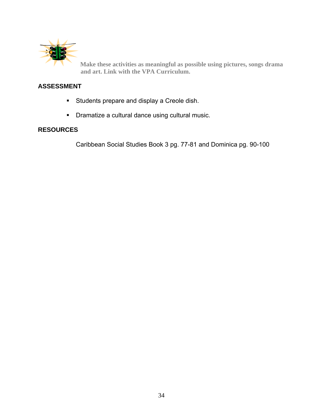

**Make these activities as meaningful as possible using pictures, songs drama and art. Link with the VPA Curriculum.** 

## **ASSESSMENT**

- **Students prepare and display a Creole dish.**
- **•** Dramatize a cultural dance using cultural music.

#### **RESOURCES**

Caribbean Social Studies Book 3 pg. 77-81 and Dominica pg. 90-100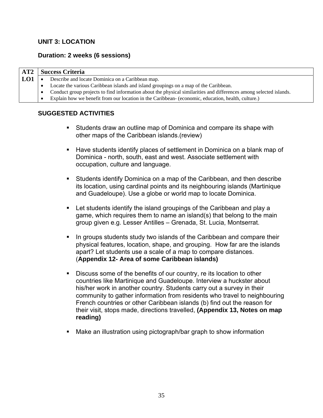### **UNIT 3: LOCATION**

### **Duration: 2 weeks (6 sessions)**

| AT2 | <b>Success Criteria</b> |                                                                                                                    |
|-----|-------------------------|--------------------------------------------------------------------------------------------------------------------|
| LO1 | $\bullet$               | Describe and locate Dominica on a Caribbean map.                                                                   |
|     |                         | Locate the various Caribbean islands and island groupings on a map of the Caribbean.                               |
|     | $\bullet$               | Conduct group projects to find information about the physical similarities and differences among selected islands. |
|     |                         | Explain how we benefit from our location in the Caribbean- (economic, education, health, culture.)                 |

- **Students draw an outline map of Dominica and compare its shape with** other maps of the Caribbean islands.(review)
- **Have students identify places of settlement in Dominica on a blank map of** Dominica - north, south, east and west. Associate settlement with occupation, culture and language.
- Students identify Dominica on a map of the Caribbean, and then describe its location, using cardinal points and its neighbouring islands (Martinique and Guadeloupe). Use a globe or world map to locate Dominica.
- Let students identify the island groupings of the Caribbean and play a game, which requires them to name an island(s) that belong to the main group given e.g. Lesser Antilles – Grenada, St. Lucia, Montserrat.
- In groups students study two islands of the Caribbean and compare their physical features, location, shape, and grouping. How far are the islands apart? Let students use a scale of a map to compare distances. (**Appendix 12- Area of some Caribbean islands)**
- Discuss some of the benefits of our country, re its location to other countries like Martinique and Guadeloupe. Interview a huckster about his/her work in another country. Students carry out a survey in their community to gather information from residents who travel to neighbouring French countries or other Caribbean islands (b) find out the reason for their visit, stops made, directions travelled, **(Appendix 13, Notes on map reading)**
- Make an illustration using pictograph/bar graph to show information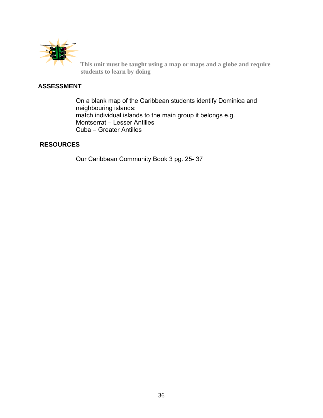

**This unit must be taught using a map or maps and a globe and require students to learn by doing** 

### **ASSESSMENT**

On a blank map of the Caribbean students identify Dominica and neighbouring islands: match individual islands to the main group it belongs e.g. Montserrat – Lesser Antilles Cuba – Greater Antilles

## **RESOURCES**

Our Caribbean Community Book 3 pg. 25- 37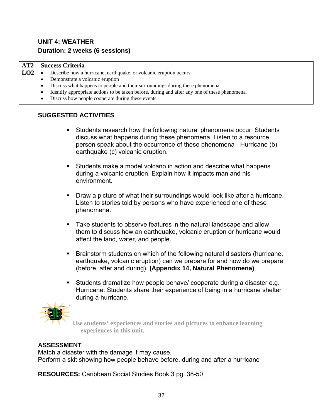# **UNIT 4: WEATHER Duration: 2 weeks (6 sessions)**

| AT2 | <b>Success Criteria</b>                                                                                    |  |  |
|-----|------------------------------------------------------------------------------------------------------------|--|--|
| LO2 | Describe how a hurricane, earthquake, or volcanic eruption occurs.                                         |  |  |
|     | Demonstrate a volcanic eruption                                                                            |  |  |
|     | Discuss what happens to people and their surroundings during these phenomena<br>$\bullet$                  |  |  |
|     | Identify appropriate actions to be taken before, during and after any one of these phenomena.<br>$\bullet$ |  |  |
|     | Discuss how people cooperate during these events<br>$\bullet$                                              |  |  |

## **SUGGESTED ACTIVITIES**

- Students research how the following natural phenomena occur. Students discuss what happens during these phenomena. Listen to a resource person speak about the occurrence of these phenomena - Hurricane (b) earthquake (c) volcanic eruption.
- Students make a model volcano in action and describe what happens during a volcanic eruption. Explain how it impacts man and his environment.
- Draw a picture of what their surroundings would look like after a hurricane. Listen to stories told by persons who have experienced one of these phenomena.
- Take students to observe features in the natural landscape and allow them to discuss how an earthquake, volcanic eruption or hurricane would affect the land, water, and people.
- Brainstorm students on which of the following natural disasters (hurricane, earthquake, volcanic eruption) can we prepare for and how do we prepare (before, after and during). **(Appendix 14, Natural Phenomena)**
- Students dramatize how people behave/ cooperate during a disaster e.g. Hurricane. Students share their experience of being in a hurricane shelter during a hurricane.



**Use students' experiences and stories and pictures to enhance learning experiences in this unit.** 

## **ASSESSMENT**

Match a disaster with the damage it may cause. Perform a skit showing how people behave before, during and after a hurricane

**RESOURCES:** Caribbean Social Studies Book 3 pg. 38-50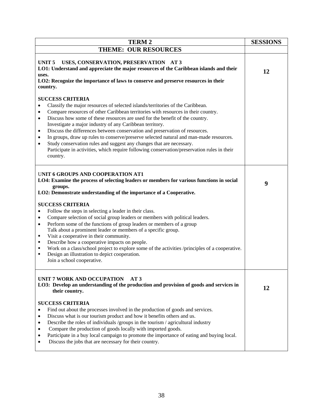| <b>TERM2</b>                                                                                                                                                                                                                                                                                                                                                                                                                                                                                                                                                                                                                                                                                           | <b>SESSIONS</b> |
|--------------------------------------------------------------------------------------------------------------------------------------------------------------------------------------------------------------------------------------------------------------------------------------------------------------------------------------------------------------------------------------------------------------------------------------------------------------------------------------------------------------------------------------------------------------------------------------------------------------------------------------------------------------------------------------------------------|-----------------|
| <b>THEME: OUR RESOURCES</b>                                                                                                                                                                                                                                                                                                                                                                                                                                                                                                                                                                                                                                                                            |                 |
| UNIT <sub>5</sub><br>USES, CONSERVATION, PRESERVATION AT 3<br>LO1: Understand and appreciate the major resources of the Caribbean islands and their<br>uses.<br>LO2: Recognize the importance of laws to conserve and preserve resources in their<br>country.                                                                                                                                                                                                                                                                                                                                                                                                                                          | 12              |
| <b>SUCCESS CRITERIA</b><br>Classify the major resources of selected islands/territories of the Caribbean.<br>Compare resources of other Caribbean territories with resources in their country.<br>Discuss how some of these resources are used for the benefit of the country.<br>Investigate a major industry of any Caribbean territory.<br>Discuss the differences between conservation and preservation of resources.<br>In groups, draw up rules to conserve/preserve selected natural and man-made resources.<br>Study conservation rules and suggest any changes that are necessary.<br>Participate in activities, which require following conservation/preservation rules in their<br>country. |                 |
| UNIT 6 GROUPS AND COOPERATION AT1<br>LO4: Examine the process of selecting leaders or members for various functions in social<br>groups.<br>LO2: Demonstrate understanding of the importance of a Cooperative.                                                                                                                                                                                                                                                                                                                                                                                                                                                                                         | 9               |
| <b>SUCCESS CRITERIA</b><br>Follow the steps in selecting a leader in their class.<br>Compare selection of social group leaders or members with political leaders.<br>$\bullet$<br>Perform some of the functions of group leaders or members of a group<br>$\bullet$<br>Talk about a prominent leader or members of a specific group.<br>Visit a cooperative in their community.<br>٠<br>Describe how a cooperative impacts on people.<br>п<br>Work on a class/school project to explore some of the activities /principles of a cooperative.<br>٠<br>Design an illustration to depict cooperation.<br>٠<br>Join a school cooperative.                                                                  |                 |
| UNIT 7 WORK AND OCCUPATION<br>AT3<br>LO3: Develop an understanding of the production and provision of goods and services in<br>their country.                                                                                                                                                                                                                                                                                                                                                                                                                                                                                                                                                          | 12              |
| <b>SUCCESS CRITERIA</b><br>Find out about the processes involved in the production of goods and services.<br>Discuss what is our tourism product and how it benefits others and us.<br>Describe the roles of individuals /groups in the tourism / agricultural industry<br>Compare the production of goods locally with imported goods.<br>Participate in a buy local campaign to promote the importance of eating and buying local.<br>Discuss the jobs that are necessary for their country.                                                                                                                                                                                                         |                 |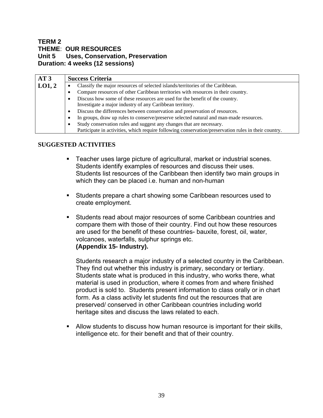### **TERM 2 THEME**: **OUR RESOURCES Unit 5 Uses, Conservation, Preservation Duration: 4 weeks (12 sessions)**

| AT3    | <b>Success Criteria</b>                                                                              |  |
|--------|------------------------------------------------------------------------------------------------------|--|
| LO1, 2 | Classify the major resources of selected islands/territories of the Caribbean.                       |  |
|        | Compare resources of other Caribbean territories with resources in their country.                    |  |
|        | Discuss how some of these resources are used for the benefit of the country.                         |  |
|        | Investigate a major industry of any Caribbean territory.                                             |  |
|        | Discuss the differences between conservation and preservation of resources.<br>$\bullet$             |  |
|        | In groups, draw up rules to conserve/preserve selected natural and man-made resources.<br>$\bullet$  |  |
|        | Study conservation rules and suggest any changes that are necessary.<br>$\bullet$                    |  |
|        | Participate in activities, which require following conservation/preservation rules in their country. |  |

### **SUGGESTED ACTIVITIES**

- Teacher uses large picture of agricultural, market or industrial scenes. Students identify examples of resources and discuss their uses. Students list resources of the Caribbean then identify two main groups in which they can be placed i.e. human and non-human
- Students prepare a chart showing some Caribbean resources used to create employment.
- Students read about major resources of some Caribbean countries and compare them with those of their country. Find out how these resources are used for the benefit of these countries- bauxite, forest, oil, water, volcanoes, waterfalls, sulphur springs etc. **(Appendix 15- Industry).**

Students research a major industry of a selected country in the Caribbean. They find out whether this industry is primary, secondary or tertiary. Students state what is produced in this industry, who works there, what material is used in production, where it comes from and where finished product is sold to. Students present information to class orally or in chart form. As a class activity let students find out the resources that are preserved/ conserved in other Caribbean countries including world heritage sites and discuss the laws related to each.

 Allow students to discuss how human resource is important for their skills, intelligence etc. for their benefit and that of their country.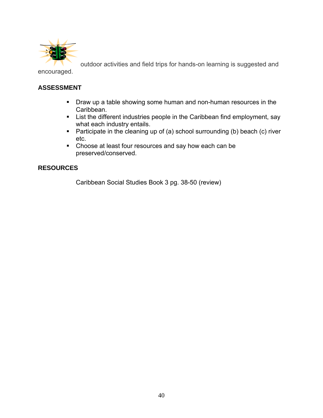

outdoor activities and field trips for hands-on learning is suggested and

encouraged.

## **ASSESSMENT**

- **Draw up a table showing some human and non-human resources in the** Caribbean.
- **EXECT:** List the different industries people in the Caribbean find employment, say what each industry entails.
- **Participate in the cleaning up of (a) school surrounding (b) beach (c) river** etc.
- Choose at least four resources and say how each can be preserved/conserved.

## **RESOURCES**

Caribbean Social Studies Book 3 pg. 38-50 (review)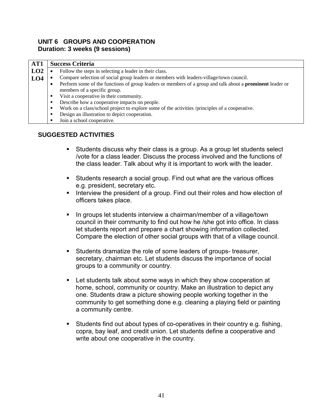#### **UNIT 6 GROUPS AND COOPERATION Duration: 3 weeks (9 sessions)**

| AT1 | <b>Success Criteria</b>                                                                                                                               |
|-----|-------------------------------------------------------------------------------------------------------------------------------------------------------|
| LO2 | Follow the steps in selecting a leader in their class.                                                                                                |
| LO4 | Compare selection of social group leaders or members with leaders-village/town council.                                                               |
|     | Perform some of the functions of group leaders or members of a group and talk about a <b>prominent</b> leader or<br>٠<br>members of a specific group. |
|     | Visit a cooperative in their community.                                                                                                               |
|     | Describe how a cooperative impacts on people.                                                                                                         |
|     | Work on a class/school project to explore some of the activities /principles of a cooperative.<br>п                                                   |
|     | Design an illustration to depict cooperation.<br>п                                                                                                    |
|     | Join a school cooperative.                                                                                                                            |

## **SUGGESTED ACTIVITIES**

- Students discuss why their class is a group. As a group let students select /vote for a class leader. Discuss the process involved and the functions of the class leader. Talk about why it is important to work with the leader.
- Students research a social group. Find out what are the various offices e.g. president, secretary etc.
- Interview the president of a group. Find out their roles and how election of officers takes place.
- **IF** In groups let students interview a chairman/member of a village/town council in their community to find out how he /she got into office. In class let students report and prepare a chart showing information collected. Compare the election of other social groups with that of a village council.
- Students dramatize the role of some leaders of groups- treasurer, secretary, chairman etc. Let students discuss the importance of social groups to a community or country.
- Let students talk about some ways in which they show cooperation at home, school, community or country. Make an illustration to depict any one. Students draw a picture showing people working together in the community to get something done e.g. cleaning a playing field or painting a community centre.
- Students find out about types of co-operatives in their country e.g. fishing, copra, bay leaf, and credit union. Let students define a cooperative and write about one cooperative in the country.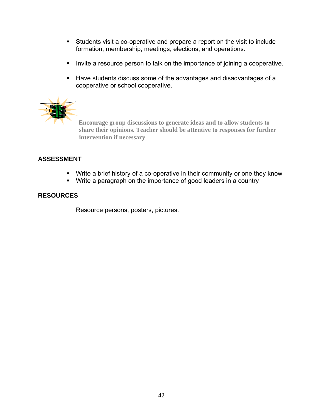- Students visit a co-operative and prepare a report on the visit to include formation, membership, meetings, elections, and operations.
- Invite a resource person to talk on the importance of joining a cooperative.
- Have students discuss some of the advantages and disadvantages of a cooperative or school cooperative.



**Encourage group discussions to generate ideas and to allow students to share their opinions. Teacher should be attentive to responses for further intervention if necessary** 

## **ASSESSMENT**

- Write a brief history of a co-operative in their community or one they know
- **Write a paragraph on the importance of good leaders in a country**

## **RESOURCES**

Resource persons, posters, pictures.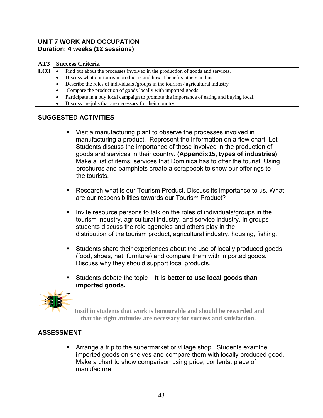### **UNIT 7 WORK AND OCCUPATION Duration: 4 weeks (12 sessions)**

| AT3             | <b>Success Criteria</b>                                                                        |
|-----------------|------------------------------------------------------------------------------------------------|
| LO <sub>3</sub> | Find out about the processes involved in the production of goods and services.<br>٠            |
|                 | Discuss what our tourism product is and how it benefits others and us.<br>٠                    |
|                 | Describe the roles of individuals /groups in the tourism / agricultural industry<br>٠          |
|                 | Compare the production of goods locally with imported goods.<br>٠                              |
|                 | Participate in a buy local campaign to promote the importance of eating and buying local.<br>٠ |
|                 | Discuss the jobs that are necessary for their country                                          |

## **SUGGESTED ACTIVITIES**

- Visit a manufacturing plant to observe the processes involved in manufacturing a product. Represent the information on a flow chart. Let Students discuss the importance of those involved in the production of goods and services in their country. **(Appendix15, types of industries)** Make a list of items, services that Dominica has to offer the tourist. Using brochures and pamphlets create a scrapbook to show our offerings to the tourists.
- Research what is our Tourism Product. Discuss its importance to us. What are our responsibilities towards our Tourism Product?
- Invite resource persons to talk on the roles of individuals/groups in the tourism industry, agricultural industry, and service industry. In groups students discuss the role agencies and others play in the distribution of the tourism product, agricultural industry, housing, fishing.
- Students share their experiences about the use of locally produced goods, (food, shoes, hat, furniture) and compare them with imported goods. Discuss why they should support local products.
- Students debate the topic **It is better to use local goods than imported goods.**



**Instil in students that work is honourable and should be rewarded and that the right attitudes are necessary for success and satisfaction.** 

### **ASSESSMENT**

 Arrange a trip to the supermarket or village shop. Students examine imported goods on shelves and compare them with locally produced good. Make a chart to show comparison using price, contents, place of manufacture.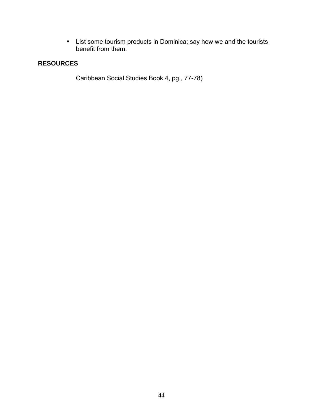**EXTE:** List some tourism products in Dominica; say how we and the tourists benefit from them.

### **RESOURCES**

Caribbean Social Studies Book 4, pg., 77-78)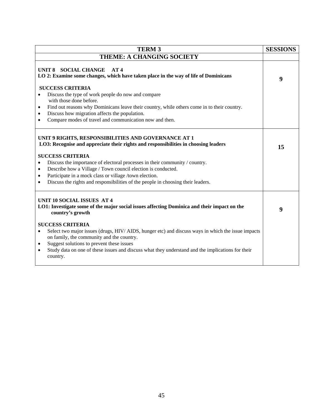| <b>TERM3</b>                                                                                                                                                                                                                                                                                                                                                                    | <b>SESSIONS</b> |  |  |
|---------------------------------------------------------------------------------------------------------------------------------------------------------------------------------------------------------------------------------------------------------------------------------------------------------------------------------------------------------------------------------|-----------------|--|--|
| <b>THEME: A CHANGING SOCIETY</b>                                                                                                                                                                                                                                                                                                                                                |                 |  |  |
| UNIT 8 SOCIAL CHANGE<br>AT4<br>LO 2: Examine some changes, which have taken place in the way of life of Dominicans<br><b>SUCCESS CRITERIA</b><br>Discuss the type of work people do now and compare                                                                                                                                                                             |                 |  |  |
| with those done before.<br>Find out reasons why Dominicans leave their country, while others come in to their country.<br>$\bullet$<br>Discuss how migration affects the population.<br>$\bullet$<br>Compare modes of travel and communication now and then.<br>$\bullet$                                                                                                       |                 |  |  |
| UNIT 9 RIGHTS, RESPONSIBILITIES AND GOVERNANCE AT 1<br>LO3: Recognise and appreciate their rights and responsibilities in choosing leaders<br><b>SUCCESS CRITERIA</b>                                                                                                                                                                                                           |                 |  |  |
| Discuss the importance of electoral processes in their community / country.<br>$\bullet$<br>Describe how a Village / Town council election is conducted.<br>$\bullet$<br>Participate in a mock class or village /town election.<br>$\bullet$<br>Discuss the rights and responsibilities of the people in choosing their leaders.<br>٠                                           |                 |  |  |
| <b>UNIT 10 SOCIAL ISSUES AT 4</b><br>LO1: Investigate some of the major social issues affecting Dominica and their impact on the<br>country's growth                                                                                                                                                                                                                            |                 |  |  |
| <b>SUCCESS CRITERIA</b><br>Select two major issues (drugs, HIV/ AIDS, hunger etc) and discuss ways in which the issue impacts<br>$\bullet$<br>on family, the community and the country.<br>Suggest solutions to prevent these issues<br>$\bullet$<br>Study data on one of these issues and discuss what they understand and the implications for their<br>$\bullet$<br>country. |                 |  |  |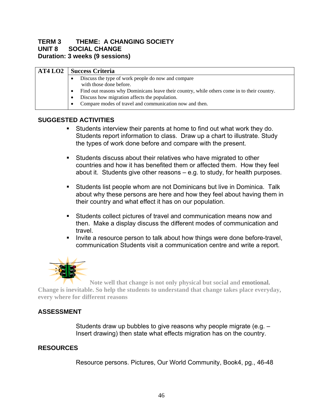## **TERM 3 THEME: A CHANGING SOCIETY UNIT 8 SOCIAL CHANGE Duration: 3 weeks (9 sessions)**

| AT4 <sub>L</sub> 02 | <b>Success Criteria</b> |                                                                                                          |
|---------------------|-------------------------|----------------------------------------------------------------------------------------------------------|
|                     |                         | Discuss the type of work people do now and compare<br>with those done before.                            |
|                     |                         | Find out reasons why Dominicans leave their country, while others come in to their country.              |
|                     | $\bullet$               | Discuss how migration affects the population.<br>Compare modes of travel and communication now and then. |

## **SUGGESTED ACTIVITIES**

- Students interview their parents at home to find out what work they do. Students report information to class. Draw up a chart to illustrate. Study the types of work done before and compare with the present.
- Students discuss about their relatives who have migrated to other countries and how it has benefited them or affected them. How they feel about it. Students give other reasons – e.g. to study, for health purposes.
- Students list people whom are not Dominicans but live in Dominica. Talk about why these persons are here and how they feel about having them in their country and what effect it has on our population.
- Students collect pictures of travel and communication means now and then. Make a display discuss the different modes of communication and travel.
- Invite a resource person to talk about how things were done before-travel, communication Students visit a communication centre and write a report.



 **Note well that change is not only physical but social and emotional. Change is inevitable. So help the students to understand that change takes place everyday, every where for different reasons**

## **ASSESSMENT**

Students draw up bubbles to give reasons why people migrate (e.g. – Insert drawing) then state what effects migration has on the country.

## **RESOURCES**

Resource persons. Pictures, Our World Community, Book4, pg., 46-48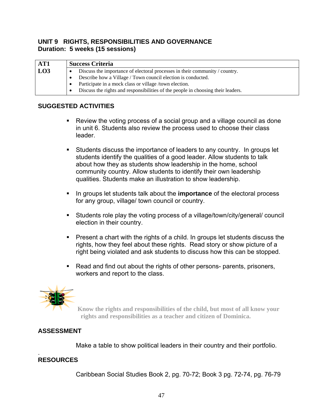### **UNIT 9 RIGHTS, RESPONSIBILITIES AND GOVERNANCE Duration: 5 weeks (15 sessions)**

| AT1 | <b>Success Criteria</b>                                                     |                                                                                  |
|-----|-----------------------------------------------------------------------------|----------------------------------------------------------------------------------|
| LO3 | Discuss the importance of electoral processes in their community / country. |                                                                                  |
|     | Describe how a Village / Town council election is conducted.                |                                                                                  |
|     | Participate in a mock class or village /town election.                      |                                                                                  |
|     |                                                                             | Discuss the rights and responsibilities of the people in choosing their leaders. |

### **SUGGESTED ACTIVITIES**

- Review the voting process of a social group and a village council as done in unit 6. Students also review the process used to choose their class leader.
- Students discuss the importance of leaders to any country. In groups let students identify the qualities of a good leader. Allow students to talk about how they as students show leadership in the home, school community country. Allow students to identify their own leadership qualities. Students make an illustration to show leadership.
- **IF In groups let students talk about the importance of the electoral process** for any group, village/ town council or country.
- Students role play the voting process of a village/town/city/general/ council election in their country.
- **Present a chart with the rights of a child. In groups let students discuss the** rights, how they feel about these rights. Read story or show picture of a right being violated and ask students to discuss how this can be stopped.
- Read and find out about the rights of other persons- parents, prisoners, workers and report to the class.



 **Know the rights and responsibilities of the child, but most of all know your rights and responsibilities as a teacher and citizen of Dominica.** 

## **ASSESSMENT**

Make a table to show political leaders in their country and their portfolio.

#### . **RESOURCES**

Caribbean Social Studies Book 2, pg. 70-72; Book 3 pg. 72-74, pg. 76-79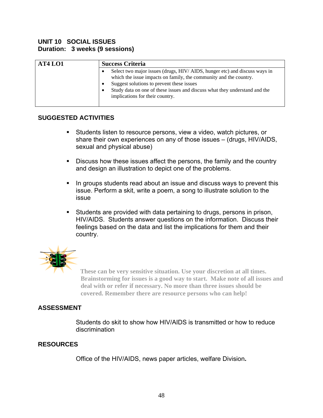### **UNIT 10 SOCIAL ISSUES Duration: 3 weeks (9 sessions)**

| AT4 <sub>LO1</sub> | <b>Success Criteria</b>                                                                                                                                                                                                                                                                                       |
|--------------------|---------------------------------------------------------------------------------------------------------------------------------------------------------------------------------------------------------------------------------------------------------------------------------------------------------------|
|                    | Select two major issues (drugs, HIV/ AIDS, hunger etc) and discuss ways in<br>which the issue impacts on family, the community and the country.<br>Suggest solutions to prevent these issues<br>Study data on one of these issues and discuss what they understand and the<br>implications for their country. |

### **SUGGESTED ACTIVITIES**

- Students listen to resource persons, view a video, watch pictures, or share their own experiences on any of those issues – (drugs, HIV/AIDS, sexual and physical abuse)
- Discuss how these issues affect the persons, the family and the country and design an illustration to depict one of the problems.
- In groups students read about an issue and discuss ways to prevent this issue. Perform a skit, write a poem, a song to illustrate solution to the issue
- Students are provided with data pertaining to drugs, persons in prison, HIV/AIDS. Students answer questions on the information. Discuss their feelings based on the data and list the implications for them and their country.



 **These can be very sensitive situation. Use your discretion at all times. Brainstorming for issues is a good way to start. Make note of all issues and deal with or refer if necessary. No more than three issues should be covered. Remember there are resource persons who can help!** 

## **ASSESSMENT**

Students do skit to show how HIV/AIDS is transmitted or how to reduce discrimination

### **RESOURCES**

Office of the HIV/AIDS, news paper articles, welfare Division**.**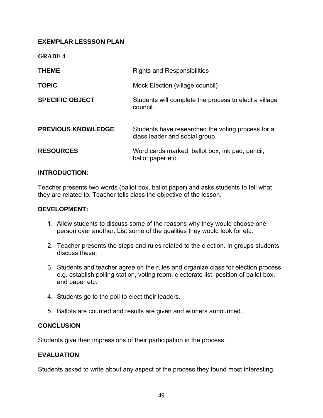## **EXEMPLAR LESSSON PLAN**

**GRADE 4** 

| <b>THEME</b>              | <b>Rights and Responsibilities</b>                                                  |
|---------------------------|-------------------------------------------------------------------------------------|
| <b>TOPIC</b>              | Mock Election (village council)                                                     |
| <b>SPECIFIC OBJECT</b>    | Students will complete the process to elect a village<br>council.                   |
| <b>PREVIOUS KNOWLEDGE</b> | Students have researched the voting process for a<br>class leader and social group. |
| <b>RESOURCES</b>          | Word cards marked, ballot box, ink pad, pencil,<br>ballot paper etc.                |

### **INTRODUCTION:**

Teacher presents two words (ballot box, ballot paper) and asks students to tell what they are related to. Teacher tells class the objective of the lesson.

#### **DEVELOPMENT:**

- 1. Allow students to discuss some of the reasons why they would choose one person over another. List some of the qualities they would look for etc.
- 2. Teacher presents the steps and rules related to the election. In groups students discuss these.
- 3. Students and teacher agree on the rules and organize class for election process e.g. establish polling station, voting room, electorate list, position of ballot box, and paper etc.
- 4. Students go to the poll to elect their leaders.
- 5. Ballots are counted and results are given and winners announced.

### **CONCLUSION**

Students give their impressions of their participation in the process.

### **EVALUATION**

Students asked to write about any aspect of the process they found most interesting.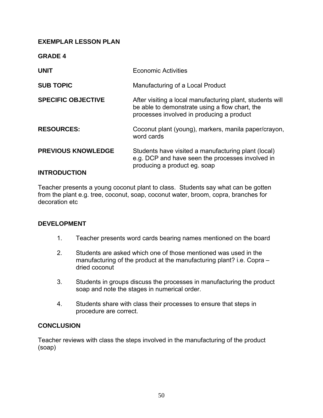### **EXEMPLAR LESSON PLAN**

**GRADE 4**

| <b>UNIT</b>                                      | <b>Economic Activities</b>                                                                                                                               |
|--------------------------------------------------|----------------------------------------------------------------------------------------------------------------------------------------------------------|
| <b>SUB TOPIC</b>                                 | Manufacturing of a Local Product                                                                                                                         |
| <b>SPECIFIC OBJECTIVE</b>                        | After visiting a local manufacturing plant, students will<br>be able to demonstrate using a flow chart, the<br>processes involved in producing a product |
| <b>RESOURCES:</b>                                | Coconut plant (young), markers, manila paper/crayon,<br>word cards                                                                                       |
| <b>PREVIOUS KNOWLEDGE</b><br><b>INTRODUCTION</b> | Students have visited a manufacturing plant (local)<br>e.g. DCP and have seen the processes involved in<br>producing a product eg. soap                  |
|                                                  |                                                                                                                                                          |

Teacher presents a young coconut plant to class. Students say what can be gotten from the plant e.g. tree, coconut, soap, coconut water, broom, copra, branches for decoration etc

### **DEVELOPMENT**

- 1. Teacher presents word cards bearing names mentioned on the board
- 2. Students are asked which one of those mentioned was used in the manufacturing of the product at the manufacturing plant? i.e. Copra – dried coconut
- 3. Students in groups discuss the processes in manufacturing the product soap and note the stages in numerical order.
- 4. Students share with class their processes to ensure that steps in procedure are correct.

### **CONCLUSION**

Teacher reviews with class the steps involved in the manufacturing of the product (soap)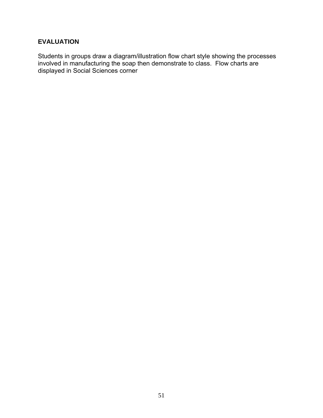## **EVALUATION**

Students in groups draw a diagram/illustration flow chart style showing the processes involved in manufacturing the soap then demonstrate to class. Flow charts are displayed in Social Sciences corner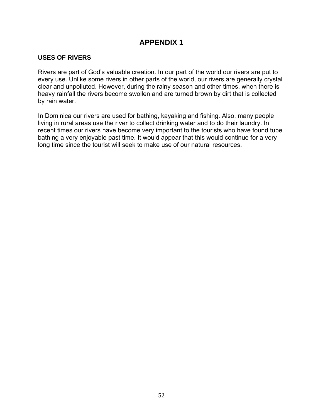## **USES OF RIVERS**

Rivers are part of God's valuable creation. In our part of the world our rivers are put to every use. Unlike some rivers in other parts of the world, our rivers are generally crystal clear and unpolluted. However, during the rainy season and other times, when there is heavy rainfall the rivers become swollen and are turned brown by dirt that is collected by rain water.

In Dominica our rivers are used for bathing, kayaking and fishing. Also, many people living in rural areas use the river to collect drinking water and to do their laundry. In recent times our rivers have become very important to the tourists who have found tube bathing a very enjoyable past time. It would appear that this would continue for a very long time since the tourist will seek to make use of our natural resources.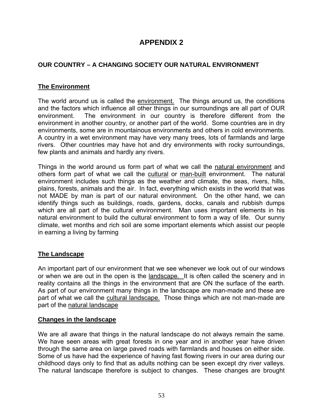## **OUR COUNTRY – A CHANGING SOCIETY OUR NATURAL ENVIRONMENT**

## **The Environment**

The world around us is called the environment. The things around us, the conditions and the factors which influence all other things in our surroundings are all part of OUR environment. The environment in our country is therefore different from the environment in another country, or another part of the world. Some countries are in dry environments, some are in mountainous environments and others in cold environments. A country in a wet environment may have very many trees, lots of farmlands and large rivers. Other countries may have hot and dry environments with rocky surroundings, few plants and animals and hardly any rivers.

Things in the world around us form part of what we call the natural environment and others form part of what we call the cultural or man-built environment. The natural environment includes such things as the weather and climate, the seas, rivers, hills, plains, forests, animals and the air. In fact, everything which exists in the world that was not MADE by man is part of our natural environment. On the other hand, we can identify things such as buildings, roads, gardens, docks, canals and rubbish dumps which are all part of the cultural environment. Man uses important elements in his natural environment to build the cultural environment to form a way of life. Our sunny climate, wet months and rich soil are some important elements which assist our people in earning a living by farming

## **The Landscape**

An important part of our environment that we see whenever we look out of our windows or when we are out in the open is the landscape. It is often called the scenery and in reality contains all the things in the environment that are ON the surface of the earth. As part of our environment many things in the landscape are man-made and these are part of what we call the cultural landscape. Those things which are not man-made are part of the natural landscape

### **Changes in the landscape**

We are all aware that things in the natural landscape do not always remain the same. We have seen areas with great forests in one year and in another year have driven through the same area on large paved roads with farmlands and houses on either side. Some of us have had the experience of having fast flowing rivers in our area during our childhood days only to find that as adults nothing can be seen except dry river valleys. The natural landscape therefore is subject to changes. These changes are brought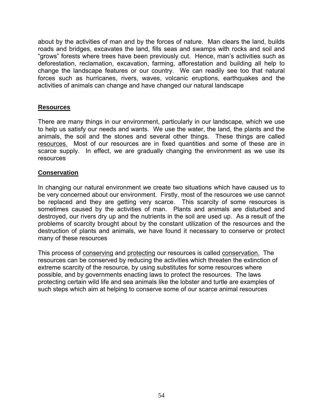about by the activities of man and by the forces of nature. Man clears the land, builds roads and bridges, excavates the land, fills seas and swamps with rocks and soil and "grows" forests where trees have been previously cut. Hence, man's activities such as deforestation, reclamation, excavation, farming, afforestation and building all help to change the landscape features or our country. We can readily see too that natural forces such as hurricanes, rivers, waves, volcanic eruptions, earthquakes and the activities of animals can change and have changed our natural landscape

## **Resources**

There are many things in our environment, particularly in our landscape, which we use to help us satisfy our needs and wants. We use the water, the land, the plants and the animals, the soil and the stones and several other things. These things are called resources. Most of our resources are in fixed quantities and some of these are in scarce supply. In effect, we are gradually changing the environment as we use its resources

### **Conservation**

In changing our natural environment we create two situations which have caused us to be very concerned about our environment. Firstly, most of the resources we use cannot be replaced and they are getting very scarce. This scarcity of some resources is sometimes caused by the activities of man. Plants and animals are disturbed and destroyed, our rivers dry up and the nutrients in the soil are used up. As a result of the problems of scarcity brought about by the constant utilization of the resources and the destruction of plants and animals, we have found it necessary to conserve or protect many of these resources

This process of conserving and protecting our resources is called conservation. The resources can be conserved by reducing the activities which threaten the extinction of extreme scarcity of the resource, by using substitutes for some resources where possible, and by governments enacting laws to protect the resources. The laws protecting certain wild life and sea animals like the lobster and turtle are examples of such steps which aim at helping to conserve some of our scarce animal resources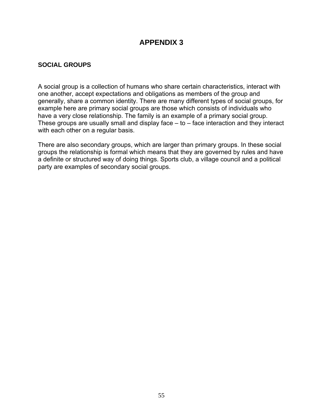## **SOCIAL GROUPS**

A social group is a collection of humans who share certain characteristics, interact with one another, accept expectations and obligations as members of the group and generally, share a common identity. There are many different types of social groups, for example here are primary social groups are those which consists of individuals who have a very close relationship. The family is an example of a primary social group. These groups are usually small and display face – to – face interaction and they interact with each other on a regular basis.

There are also secondary groups, which are larger than primary groups. In these social groups the relationship is formal which means that they are governed by rules and have a definite or structured way of doing things. Sports club, a village council and a political party are examples of secondary social groups.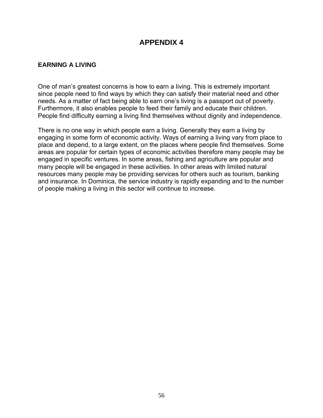### **EARNING A LIVING**

One of man's greatest concerns is how to earn a living. This is extremely important since people need to find ways by which they can satisfy their material need and other needs. As a matter of fact being able to earn one's living is a passport out of poverty. Furthermore, it also enables people to feed their family and educate their children. People find difficulty earning a living find themselves without dignity and independence.

There is no one way in which people earn a living. Generally they earn a living by engaging in some form of economic activity. Ways of earning a living vary from place to place and depend, to a large extent, on the places where people find themselves. Some areas are popular for certain types of economic activities therefore many people may be engaged in specific ventures. In some areas, fishing and agriculture are popular and many people will be engaged in these activities. In other areas with limited natural resources many people may be providing services for others such as tourism, banking and insurance. In Dominica, the service industry is rapidly expanding and to the number of people making a living in this sector will continue to increase.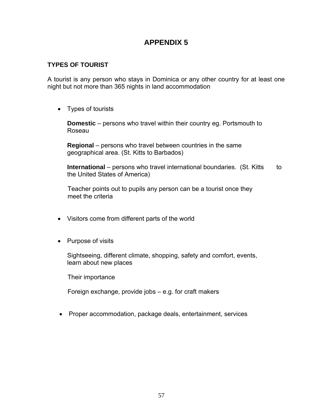### **TYPES OF TOURIST**

A tourist is any person who stays in Dominica or any other country for at least one night but not more than 365 nights in land accommodation

• Types of tourists

**Domestic** – persons who travel within their country eg. Portsmouth to Roseau

**Regional** – persons who travel between countries in the same geographical area. (St. Kitts to Barbados)

**International** – persons who travel international boundaries. (St. Kitts to the United States of America)

 Teacher points out to pupils any person can be a tourist once they meet the criteria

- Visitors come from different parts of the world
- Purpose of visits

Sightseeing, different climate, shopping, safety and comfort, events, learn about new places

Their importance

Foreign exchange, provide jobs – e.g. for craft makers

• Proper accommodation, package deals, entertainment, services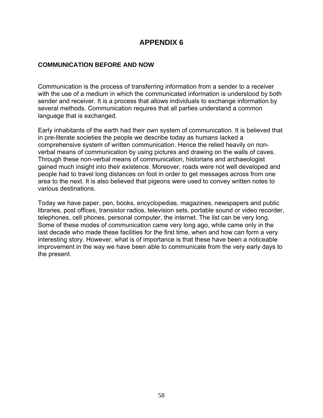### **COMMUNICATION BEFORE AND NOW**

Communication is the process of transferring information from a sender to a receiver with the use of a medium in which the communicated information is understood by both sender and receiver. It is a process that allows individuals to exchange information by several methods. Communication requires that all parties understand a common language that is exchanged.

Early inhabitants of the earth had their own system of communication. It is believed that in pre-literate societies the people we describe today as humans lacked a comprehensive system of written communication. Hence the relied heavily on nonverbal means of communication by using pictures and drawing on the walls of caves. Through these non-verbal means of communication, historians and archaeologist gained much insight into their existence. Moreover, roads were not well developed and people had to travel long distances on foot in order to get messages across from one area to the next. It is also believed that pigeons were used to convey written notes to various destinations.

Today we have paper, pen, books, encyclopedias, magazines, newspapers and public libraries, post offices, transistor radios, television sets, portable sound or video recorder, telephones, cell phones, personal computer, the internet. The list can be very long. Some of these modes of communication came very long ago, while came only in the last decade who made these facilities for the first time, when and how can form a very interesting story. However, what is of importance is that these have been a noticeable improvement in the way we have been able to communicate from the very early days to the present.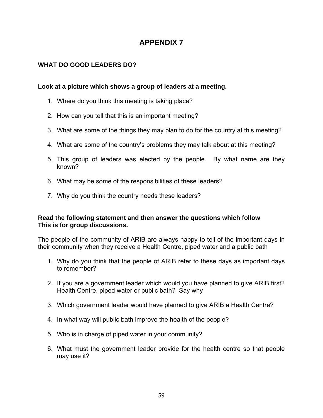## **WHAT DO GOOD LEADERS DO?**

### **Look at a picture which shows a group of leaders at a meeting.**

- 1. Where do you think this meeting is taking place?
- 2. How can you tell that this is an important meeting?
- 3. What are some of the things they may plan to do for the country at this meeting?
- 4. What are some of the country's problems they may talk about at this meeting?
- 5. This group of leaders was elected by the people. By what name are they known?
- 6. What may be some of the responsibilities of these leaders?
- 7. Why do you think the country needs these leaders?

### **Read the following statement and then answer the questions which follow This is for group discussions.**

The people of the community of ARIB are always happy to tell of the important days in their community when they receive a Health Centre, piped water and a public bath

- 1. Why do you think that the people of ARIB refer to these days as important days to remember?
- 2. If you are a government leader which would you have planned to give ARIB first? Health Centre, piped water or public bath? Say why
- 3. Which government leader would have planned to give ARIB a Health Centre?
- 4. In what way will public bath improve the health of the people?
- 5. Who is in charge of piped water in your community?
- 6. What must the government leader provide for the health centre so that people may use it?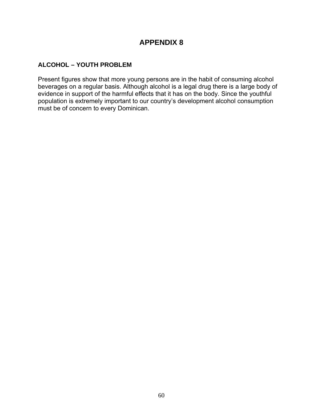### **ALCOHOL – YOUTH PROBLEM**

Present figures show that more young persons are in the habit of consuming alcohol beverages on a regular basis. Although alcohol is a legal drug there is a large body of evidence in support of the harmful effects that it has on the body. Since the youthful population is extremely important to our country's development alcohol consumption must be of concern to every Dominican.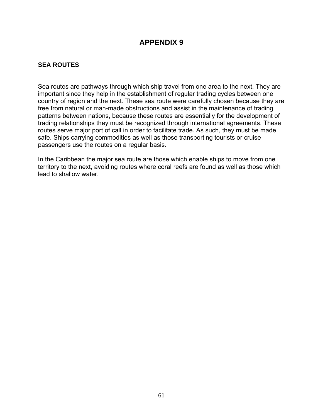## **SEA ROUTES**

Sea routes are pathways through which ship travel from one area to the next. They are important since they help in the establishment of regular trading cycles between one country of region and the next. These sea route were carefully chosen because they are free from natural or man-made obstructions and assist in the maintenance of trading patterns between nations, because these routes are essentially for the development of trading relationships they must be recognized through international agreements. These routes serve major port of call in order to facilitate trade. As such, they must be made safe. Ships carrying commodities as well as those transporting tourists or cruise passengers use the routes on a regular basis.

In the Caribbean the major sea route are those which enable ships to move from one territory to the next, avoiding routes where coral reefs are found as well as those which lead to shallow water.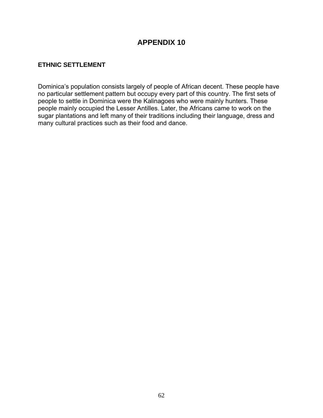## **ETHNIC SETTLEMENT**

Dominica's population consists largely of people of African decent. These people have no particular settlement pattern but occupy every part of this country. The first sets of people to settle in Dominica were the Kalinagoes who were mainly hunters. These people mainly occupied the Lesser Antilles. Later, the Africans came to work on the sugar plantations and left many of their traditions including their language, dress and many cultural practices such as their food and dance.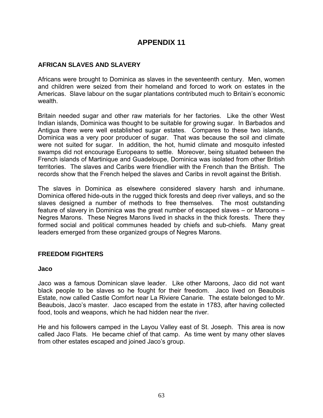### **AFRICAN SLAVES AND SLAVERY**

Africans were brought to Dominica as slaves in the seventeenth century. Men, women and children were seized from their homeland and forced to work on estates in the Americas. Slave labour on the sugar plantations contributed much to Britain's economic wealth.

Britain needed sugar and other raw materials for her factories. Like the other West Indian islands, Dominica was thought to be suitable for growing sugar. In Barbados and Antigua there were well established sugar estates. Compares to these two islands, Dominica was a very poor producer of sugar. That was because the soil and climate were not suited for sugar. In addition, the hot, humid climate and mosquito infested swamps did not encourage Europeans to settle. Moreover, being situated between the French islands of Martinique and Guadeloupe, Dominica was isolated from other British territories. The slaves and Caribs were friendlier with the French than the British. The records show that the French helped the slaves and Caribs in revolt against the British.

The slaves in Dominica as elsewhere considered slavery harsh and inhumane. Dominica offered hide-outs in the rugged thick forests and deep river valleys, and so the slaves designed a number of methods to free themselves. The most outstanding feature of slavery in Dominica was the great number of escaped slaves – or Maroons – Negres Marons. These Negres Marons lived in shacks in the thick forests. There they formed social and political communes headed by chiefs and sub-chiefs. Many great leaders emerged from these organized groups of Negres Marons.

### **FREEDOM FIGHTERS**

#### **Jaco**

Jaco was a famous Dominican slave leader. Like other Maroons, Jaco did not want black people to be slaves so he fought for their freedom. Jaco lived on Beaubois Estate, now called Castle Comfort near La Riviere Canarie. The estate belonged to Mr. Beaubois, Jaco's master. Jaco escaped from the estate in 1783, after having collected food, tools and weapons, which he had hidden near the river.

He and his followers camped in the Layou Valley east of St. Joseph. This area is now called Jaco Flats. He became chief of that camp. As time went by many other slaves from other estates escaped and joined Jaco's group.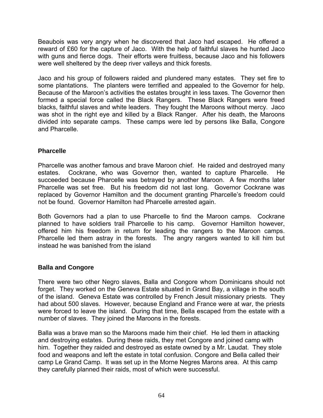Beaubois was very angry when he discovered that Jaco had escaped. He offered a reward of £60 for the capture of Jaco. With the help of faithful slaves he hunted Jaco with guns and fierce dogs. Their efforts were fruitless, because Jaco and his followers were well sheltered by the deep river valleys and thick forests.

Jaco and his group of followers raided and plundered many estates. They set fire to some plantations. The planters were terrified and appealed to the Governor for help. Because of the Maroon's activities the estates brought in less taxes. The Governor then formed a special force called the Black Rangers. These Black Rangers were freed blacks, faithful slaves and white leaders. They fought the Maroons without mercy. Jaco was shot in the right eye and killed by a Black Ranger. After his death, the Maroons divided into separate camps. These camps were led by persons like Balla, Congore and Pharcelle.

### **Pharcelle**

Pharcelle was another famous and brave Maroon chief. He raided and destroyed many estates. Cockrane, who was Governor then, wanted to capture Pharcelle. He succeeded because Pharcelle was betrayed by another Maroon. A few months later Pharcelle was set free. But his freedom did not last long. Governor Cockrane was replaced by Governor Hamilton and the document granting Pharcelle's freedom could not be found. Governor Hamilton had Pharcelle arrested again.

Both Governors had a plan to use Pharcelle to find the Maroon camps. Cockrane planned to have soldiers trail Pharcelle to his camp. Governor Hamilton however, offered him his freedom in return for leading the rangers to the Maroon camps. Pharcelle led them astray in the forests. The angry rangers wanted to kill him but instead he was banished from the island

## **Balla and Congore**

There were two other Negro slaves, Balla and Congore whom Dominicans should not forget. They worked on the Geneva Estate situated in Grand Bay, a village in the south of the island. Geneva Estate was controlled by French Jesuit missionary priests. They had about 500 slaves. However, because England and France were at war, the priests were forced to leave the island. During that time, Bella escaped from the estate with a number of slaves. They joined the Maroons in the forests.

Balla was a brave man so the Maroons made him their chief. He led them in attacking and destroying estates. During these raids, they met Congore and joined camp with him. Together they raided and destroyed as estate owned by a Mr. Laudat. They stole food and weapons and left the estate in total confusion. Congore and Bella called their camp Le Grand Camp. It was set up in the Morne Negres Marons area. At this camp they carefully planned their raids, most of which were successful.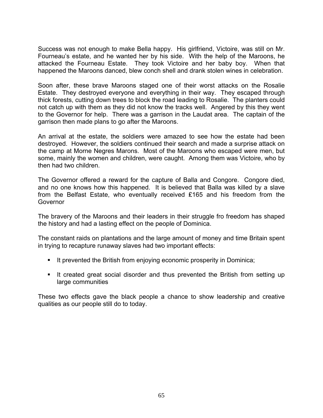Success was not enough to make Bella happy. His girlfriend, Victoire, was still on Mr. Fourneau's estate, and he wanted her by his side. With the help of the Maroons, he attacked the Fourneau Estate. They took Victoire and her baby boy. When that happened the Maroons danced, blew conch shell and drank stolen wines in celebration.

Soon after, these brave Maroons staged one of their worst attacks on the Rosalie Estate. They destroyed everyone and everything in their way. They escaped through thick forests, cutting down trees to block the road leading to Rosalie. The planters could not catch up with them as they did not know the tracks well. Angered by this they went to the Governor for help. There was a garrison in the Laudat area. The captain of the garrison then made plans to go after the Maroons.

An arrival at the estate, the soldiers were amazed to see how the estate had been destroyed. However, the soldiers continued their search and made a surprise attack on the camp at Morne Negres Marons. Most of the Maroons who escaped were men, but some, mainly the women and children, were caught. Among them was Victoire, who by then had two children.

The Governor offered a reward for the capture of Balla and Congore. Congore died, and no one knows how this happened. It is believed that Balla was killed by a slave from the Belfast Estate, who eventually received ₤165 and his freedom from the Governor

The bravery of the Maroons and their leaders in their struggle fro freedom has shaped the history and had a lasting effect on the people of Dominica.

The constant raids on plantations and the large amount of money and time Britain spent in trying to recapture runaway slaves had two important effects:

- It prevented the British from enjoying economic prosperity in Dominica;
- It created great social disorder and thus prevented the British from setting up large communities

These two effects gave the black people a chance to show leadership and creative qualities as our people still do to today.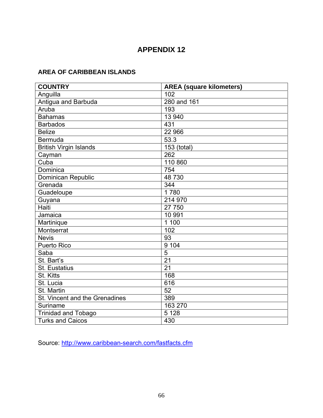## **AREA OF CARIBBEAN ISLANDS**

| <b>COUNTRY</b>                 | <b>AREA (square kilometers)</b> |
|--------------------------------|---------------------------------|
| Anguilla                       | 102                             |
| Antigua and Barbuda            | 280 and 161                     |
| Aruba                          | 193                             |
| <b>Bahamas</b>                 | 13 940                          |
| <b>Barbados</b>                | 431                             |
| <b>Belize</b>                  | 22 966                          |
| <b>Bermuda</b>                 | 53.3                            |
| <b>British Virgin Islands</b>  | 153 (total)                     |
| Cayman                         | 262                             |
| Cuba                           | 110 860                         |
| Dominica                       | 754                             |
| <b>Dominican Republic</b>      | 48 730                          |
| Grenada                        | 344                             |
| Guadeloupe                     | 1780                            |
| Guyana                         | 214 970                         |
| <b>Haiti</b>                   | 27 750                          |
| Jamaica                        | 10 991                          |
| Martinique                     | 1 100                           |
| Montserrat                     | 102                             |
| <b>Nevis</b>                   | 93                              |
| <b>Puerto Rico</b>             | 9 104                           |
| Saba                           | 5                               |
| St. Bart's                     | $\overline{21}$                 |
| <b>St. Eustatius</b>           | 21                              |
| St. Kitts                      | 168                             |
| St. Lucia                      | 616                             |
| St. Martin                     | 52                              |
| St. Vincent and the Grenadines | 389                             |
| Suriname                       | 163 270                         |
| <b>Trinidad and Tobago</b>     | 5 1 2 8                         |
| <b>Turks and Caicos</b>        | 430                             |

Source: http://www.caribbean-search.com/fastfacts.cfm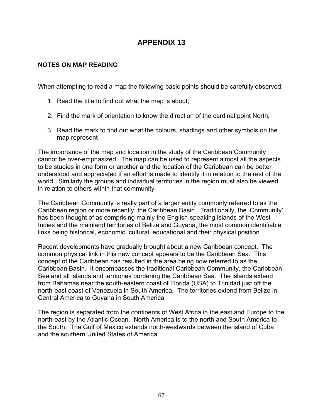### **NOTES ON MAP READING**

When attempting to read a map the following basic points should be carefully observed:

- 1. Read the title to find out what the map is about;
- 2. Find the mark of orientation to know the direction of the cardinal point North;
- 3. Read the mark to find out what the colours, shadings and other symbols on the map represent

The importance of the map and location in the study of the Caribbean Community cannot be over-emphasized. The map can be used to represent almost all the aspects to be studies in one form or another and the location of the Caribbean can be better understood and appreciated if an effort is made to identify it in relation to the rest of the world. Similarly the groups and individual territories in the region must also be viewed in relation to others within that community

The Caribbean Community is really part of a larger entity commonly referred to as the Caribbean region or more recently, the Caribbean Basin. Traditionally, the 'Community' has been thought of as comprising mainly the English-speaking islands of the West Indies and the mainland territories of Belize and Guyana, the most common identifiable links being historical, economic, cultural, educational and their physical position

Recent developments have gradually brought about a new Caribbean concept. The common physical link in this new concept appears to be the Caribbean Sea. This concept of the Caribbean has resulted in the area being now referred to as the Caribbean Basin. It encompasses the traditional Caribbean Community, the Caribbean Sea and all islands and territories bordering the Caribbean Sea. The islands extend from Bahamas near the south-eastern coast of Florida (USA) to Trinidad just off the north-east coast of Venezuela in South America. The territories extend from Belize in Central America to Guyana in South America

The region is separated from the continents of West Africa in the east and Europe to the north-east by the Atlantic Ocean. North America is to the north and South America to the South. The Gulf of Mexico extends north-westwards between the island of Cuba and the southern United States of America.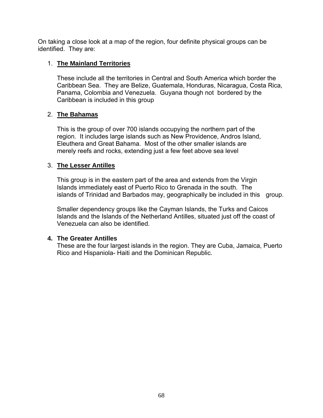On taking a close look at a map of the region, four definite physical groups can be identified. They are:

### 1. **The Mainland Territories**

These include all the territories in Central and South America which border the Caribbean Sea. They are Belize, Guatemala, Honduras, Nicaragua, Costa Rica, Panama, Colombia and Venezuela. Guyana though not bordered by the Caribbean is included in this group

### 2. **The Bahamas**

 This is the group of over 700 islands occupying the northern part of the region. It includes large islands such as New Providence, Andros Island, Eleuthera and Great Bahama. Most of the other smaller islands are merely reefs and rocks, extending just a few feet above sea level

### 3. **The Lesser Antilles**

 This group is in the eastern part of the area and extends from the Virgin Islands immediately east of Puerto Rico to Grenada in the south. The islands of Trinidad and Barbados may, geographically be included in this group.

Smaller dependency groups like the Cayman Islands, the Turks and Caicos Islands and the Islands of the Netherland Antilles, situated just off the coast of Venezuela can also be identified.

### **4. The Greater Antilles**

These are the four largest islands in the region. They are Cuba, Jamaica, Puerto Rico and Hispaniola- Haiti and the Dominican Republic.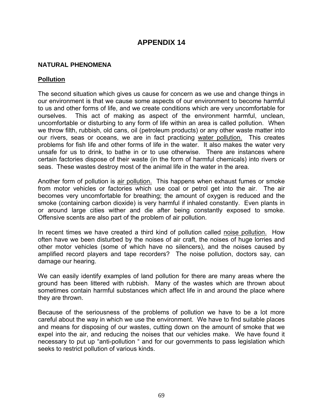#### **NATURAL PHENOMENA**

#### **Pollution**

The second situation which gives us cause for concern as we use and change things in our environment is that we cause some aspects of our environment to become harmful to us and other forms of life, and we create conditions which are very uncomfortable for ourselves. This act of making as aspect of the environment harmful, unclean, uncomfortable or disturbing to any form of life within an area is called pollution. When we throw filth, rubbish, old cans, oil (petroleum products) or any other waste matter into our rivers, seas or oceans, we are in fact practicing water pollution. This creates problems for fish life and other forms of life in the water. It also makes the water very unsafe for us to drink, to bathe in or to use otherwise. There are instances where certain factories dispose of their waste (in the form of harmful chemicals) into rivers or seas. These wastes destroy most of the animal life in the water in the area.

Another form of pollution is air pollution. This happens when exhaust fumes or smoke from motor vehicles or factories which use coal or petrol get into the air. The air becomes very uncomfortable for breathing; the amount of oxygen is reduced and the smoke (containing carbon dioxide) is very harmful if inhaled constantly. Even plants in or around large cities wither and die after being constantly exposed to smoke. Offensive scents are also part of the problem of air pollution.

In recent times we have created a third kind of pollution called noise pollution. How often have we been disturbed by the noises of air craft, the noises of huge lorries and other motor vehicles (some of which have no silencers), and the noises caused by amplified record players and tape recorders? The noise pollution, doctors say, can damage our hearing.

We can easily identify examples of land pollution for there are many areas where the ground has been littered with rubbish. Many of the wastes which are thrown about sometimes contain harmful substances which affect life in and around the place where they are thrown.

Because of the seriousness of the problems of pollution we have to be a lot more careful about the way in which we use the environment. We have to find suitable places and means for disposing of our wastes, cutting down on the amount of smoke that we expel into the air, and reducing the noises that our vehicles make. We have found it necessary to put up "anti-pollution " and for our governments to pass legislation which seeks to restrict pollution of various kinds.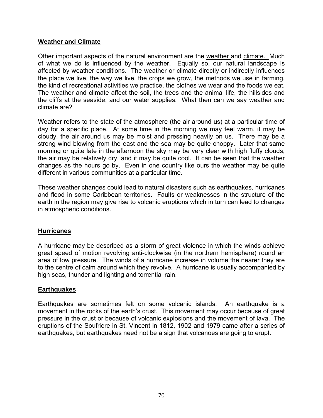### **Weather and Climate**

Other important aspects of the natural environment are the weather and climate. Much of what we do is influenced by the weather. Equally so, our natural landscape is affected by weather conditions. The weather or climate directly or indirectly influences the place we live, the way we live, the crops we grow, the methods we use in farming, the kind of recreational activities we practice, the clothes we wear and the foods we eat. The weather and climate affect the soil, the trees and the animal life, the hillsides and the cliffs at the seaside, and our water supplies. What then can we say weather and climate are?

Weather refers to the state of the atmosphere (the air around us) at a particular time of day for a specific place. At some time in the morning we may feel warm, it may be cloudy, the air around us may be moist and pressing heavily on us. There may be a strong wind blowing from the east and the sea may be quite choppy. Later that same morning or quite late in the afternoon the sky may be very clear with high fluffy clouds, the air may be relatively dry, and it may be quite cool. It can be seen that the weather changes as the hours go by. Even in one country like ours the weather may be quite different in various communities at a particular time.

These weather changes could lead to natural disasters such as earthquakes, hurricanes and flood in some Caribbean territories. Faults or weaknesses in the structure of the earth in the region may give rise to volcanic eruptions which in turn can lead to changes in atmospheric conditions.

### **Hurricanes**

A hurricane may be described as a storm of great violence in which the winds achieve great speed of motion revolving anti-clockwise (in the northern hemisphere) round an area of low pressure. The winds of a hurricane increase in volume the nearer they are to the centre of calm around which they revolve. A hurricane is usually accompanied by high seas, thunder and lighting and torrential rain.

### **Earthquakes**

Earthquakes are sometimes felt on some volcanic islands. An earthquake is a movement in the rocks of the earth's crust. This movement may occur because of great pressure in the crust or because of volcanic explosions and the movement of lava. The eruptions of the Soufriere in St. Vincent in 1812, 1902 and 1979 came after a series of earthquakes, but earthquakes need not be a sign that volcanoes are going to erupt.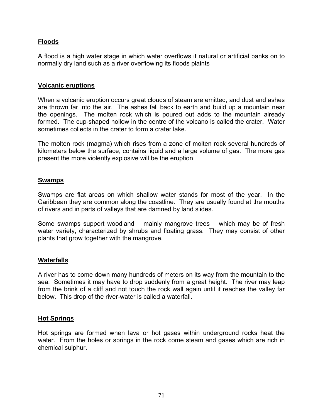## **Floods**

A flood is a high water stage in which water overflows it natural or artificial banks on to normally dry land such as a river overflowing its floods plaints

#### **Volcanic eruptions**

When a volcanic eruption occurs great clouds of steam are emitted, and dust and ashes are thrown far into the air. The ashes fall back to earth and build up a mountain near the openings. The molten rock which is poured out adds to the mountain already formed. The cup-shaped hollow in the centre of the volcano is called the crater. Water sometimes collects in the crater to form a crater lake.

The molten rock (magma) which rises from a zone of molten rock several hundreds of kilometers below the surface, contains liquid and a large volume of gas. The more gas present the more violently explosive will be the eruption

#### **Swamps**

Swamps are flat areas on which shallow water stands for most of the year. In the Caribbean they are common along the coastline. They are usually found at the mouths of rivers and in parts of valleys that are damned by land slides.

Some swamps support woodland – mainly mangrove trees – which may be of fresh water variety, characterized by shrubs and floating grass. They may consist of other plants that grow together with the mangrove.

#### **Waterfalls**

A river has to come down many hundreds of meters on its way from the mountain to the sea. Sometimes it may have to drop suddenly from a great height. The river may leap from the brink of a cliff and not touch the rock wall again until it reaches the valley far below. This drop of the river-water is called a waterfall.

#### **Hot Springs**

Hot springs are formed when lava or hot gases within underground rocks heat the water. From the holes or springs in the rock come steam and gases which are rich in chemical sulphur.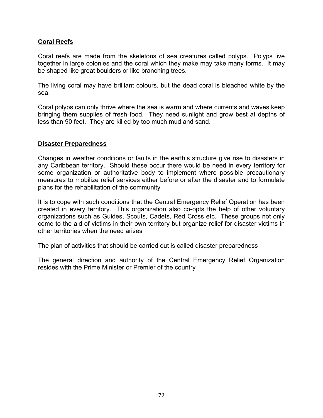### **Coral Reefs**

Coral reefs are made from the skeletons of sea creatures called polyps. Polyps live together in large colonies and the coral which they make may take many forms. It may be shaped like great boulders or like branching trees.

The living coral may have brilliant colours, but the dead coral is bleached white by the sea.

Coral polyps can only thrive where the sea is warm and where currents and waves keep bringing them supplies of fresh food. They need sunlight and grow best at depths of less than 90 feet. They are killed by too much mud and sand.

### **Disaster Preparedness**

Changes in weather conditions or faults in the earth's structure give rise to disasters in any Caribbean territory. Should these occur there would be need in every territory for some organization or authoritative body to implement where possible precautionary measures to mobilize relief services either before or after the disaster and to formulate plans for the rehabilitation of the community

It is to cope with such conditions that the Central Emergency Relief Operation has been created in every territory. This organization also co-opts the help of other voluntary organizations such as Guides, Scouts, Cadets, Red Cross etc. These groups not only come to the aid of victims in their own territory but organize relief for disaster victims in other territories when the need arises

The plan of activities that should be carried out is called disaster preparedness

The general direction and authority of the Central Emergency Relief Organization resides with the Prime Minister or Premier of the country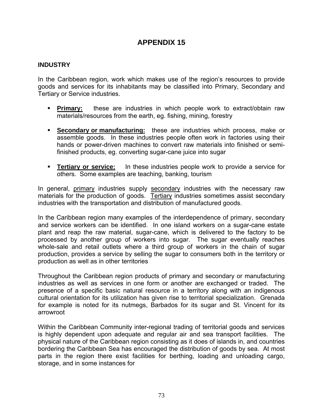## **APPENDIX 15**

## **INDUSTRY**

In the Caribbean region, work which makes use of the region's resources to provide goods and services for its inhabitants may be classified into Primary, Secondary and Tertiary or Service industries.

- **Primary:** these are industries in which people work to extract/obtain raw materials/resources from the earth, eg. fishing, mining, forestry
- **Secondary or manufacturing:** these are industries which process, make or assemble goods. In these industries people often work in factories using their hands or power-driven machines to convert raw materials into finished or semifinished products, eg. converting sugar-cane juice into sugar
- **Tertiary or service:** In these industries people work to provide a service for others. Some examples are teaching, banking, tourism

In general, primary industries supply secondary industries with the necessary raw materials for the production of goods. Tertiary industries sometimes assist secondary industries with the transportation and distribution of manufactured goods.

In the Caribbean region many examples of the interdependence of primary, secondary and service workers can be identified. In one island workers on a sugar-cane estate plant and reap the raw material, sugar-cane, which is delivered to the factory to be processed by another group of workers into sugar. The sugar eventually reaches whole-sale and retail outlets where a third group of workers in the chain of sugar production, provides a service by selling the sugar to consumers both in the territory or production as well as in other territories

Throughout the Caribbean region products of primary and secondary or manufacturing industries as well as services in one form or another are exchanged or traded. The presence of a specific basic natural resource in a territory along with an indigenous cultural orientation for its utilization has given rise to territorial specialization. Grenada for example is noted for its nutmegs, Barbados for its sugar and St. Vincent for its arrowroot

Within the Caribbean Community inter-regional trading of territorial goods and services is highly dependent upon adequate and regular air and sea transport facilities. The physical nature of the Caribbean region consisting as it does of islands in, and countries bordering the Caribbean Sea has encouraged the distribution of goods by sea. At most parts in the region there exist facilities for berthing, loading and unloading cargo, storage, and in some instances for